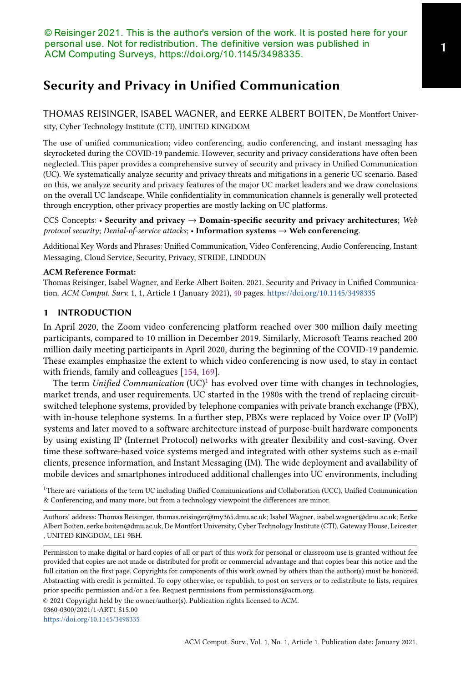# Security and Privacy in Unified Communication

THOMAS REISINGER, ISABEL WAGNER, and EERKE ALBERT BOITEN, De Montfort University, Cyber Technology Institute (CTI), UNITED KINGDOM

The use of unified communication; video conferencing, audio conferencing, and instant messaging has skyrocketed during the COVID-19 pandemic. However, security and privacy considerations have often been neglected. This paper provides a comprehensive survey of security and privacy in Unified Communication (UC). We systematically analyze security and privacy threats and mitigations in a generic UC scenario. Based on this, we analyze security and privacy features of the major UC market leaders and we draw conclusions on the overall UC landscape. While confidentiality in communication channels is generally well protected through encryption, other privacy properties are mostly lacking on UC platforms.

CCS Concepts: • Security and privacy  $\rightarrow$  Domain-specific security and privacy architectures; Web protocol security; Denial-of-service attacks; • Information systems  $\rightarrow$  Web conferencing.

Additional Key Words and Phrases: Unified Communication, Video Conferencing, Audio Conferencing, Instant Messaging, Cloud Service, Security, Privacy, STRIDE, LINDDUN

## ACM Reference Format:

Thomas Reisinger, Isabel Wagner, and Eerke Albert Boiten. 2021. Security and Privacy in Unified Communication. ACM Comput. Surv. 1, 1, Article 1 (January 2021), 40 pages. https://doi.org/10.1145/3498335

## 1 INTRODUCTION

In April 2020, the Zoom video conferencing platform reached over 300 million daily meeting participants, compared to 10 million in December 2019. Similarly, Microsoft Teams reached 200 million daily meeting participants in April 2020, during the beginning of the COVID-19 pandemic. These examples emphasize the extent to which video conferencing is now used, to stay in contact with friends, family and colleagues [154, 169].

The term Unified Communication  $(UC)^{1}$  has evolved over time with changes in technologies, market trends, and user requirements. UC started in the 1980s with the trend of replacing circuitswitched telephone systems, provided by telephone companies with private branch exchange (PBX), with in-house telephone systems. In a further step, PBXs were replaced by Voice over IP (VoIP) systems and later moved to a software architecture instead of purpose-built hardware components by using existing IP (Internet Protocol) networks with greater flexibility and cost-saving. Over time these software-based voice systems merged and integrated with other systems such as e-mail clients, presence information, and Instant Messaging (IM). The wide deployment and availability of mobile devices and smartphones introduced additional challenges into UC environments, including

© 2021 Copyright held by the owner/author(s). Publication rights licensed to ACM.

https://doi.org/10.1145/3498335

<sup>1</sup>There are variations of the term UC including Unified Communications and Collaboration (UCC), Unified Communication & Conferencing, and many more, but from a technology viewpoint the differences are minor.

Authors' address: Thomas Reisinger, thomas.reisinger@my365.dmu.ac.uk; Isabel Wagner, isabel.wagner@dmu.ac.uk; Eerke Albert Boiten, eerke.boiten@dmu.ac.uk, De Montfort University, Cyber Technology Institute (CTI), Gateway House, Leicester , UNITED KINGDOM, LE1 9BH.

Permission to make digital or hard copies of all or part of this work for personal or classroom use is granted without fee provided that copies are not made or distributed for profit or commercial advantage and that copies bear this notice and the full citation on the first page. Copyrights for components of this work owned by others than the author(s) must be honored. Abstracting with credit is permitted. To copy otherwise, or republish, to post on servers or to redistribute to lists, requires prior specific permission and/or a fee. Request permissions from permissions@acm.org.

<sup>0360-0300/2021/1-</sup>ART1 \$15.00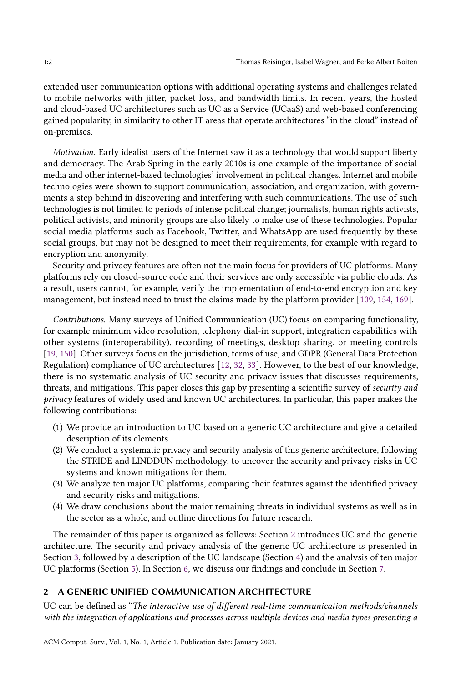extended user communication options with additional operating systems and challenges related to mobile networks with jitter, packet loss, and bandwidth limits. In recent years, the hosted and cloud-based UC architectures such as UC as a Service (UCaaS) and web-based conferencing gained popularity, in similarity to other IT areas that operate architectures "in the cloud" instead of on-premises.

Motivation. Early idealist users of the Internet saw it as a technology that would support liberty and democracy. The Arab Spring in the early 2010s is one example of the importance of social media and other internet-based technologies' involvement in political changes. Internet and mobile technologies were shown to support communication, association, and organization, with governments a step behind in discovering and interfering with such communications. The use of such technologies is not limited to periods of intense political change; journalists, human rights activists, political activists, and minority groups are also likely to make use of these technologies. Popular social media platforms such as Facebook, Twitter, and WhatsApp are used frequently by these social groups, but may not be designed to meet their requirements, for example with regard to encryption and anonymity.

Security and privacy features are often not the main focus for providers of UC platforms. Many platforms rely on closed-source code and their services are only accessible via public clouds. As a result, users cannot, for example, verify the implementation of end-to-end encryption and key management, but instead need to trust the claims made by the platform provider [109, 154, 169].

Contributions. Many surveys of Unified Communication (UC) focus on comparing functionality, for example minimum video resolution, telephony dial-in support, integration capabilities with other systems (interoperability), recording of meetings, desktop sharing, or meeting controls [19, 150]. Other surveys focus on the jurisdiction, terms of use, and GDPR (General Data Protection Regulation) compliance of UC architectures [12, 32, 33]. However, to the best of our knowledge, there is no systematic analysis of UC security and privacy issues that discusses requirements, threats, and mitigations. This paper closes this gap by presenting a scientific survey of security and privacy features of widely used and known UC architectures. In particular, this paper makes the following contributions:

- (1) We provide an introduction to UC based on a generic UC architecture and give a detailed description of its elements.
- (2) We conduct a systematic privacy and security analysis of this generic architecture, following the STRIDE and LINDDUN methodology, to uncover the security and privacy risks in UC systems and known mitigations for them.
- (3) We analyze ten major UC platforms, comparing their features against the identified privacy and security risks and mitigations.
- (4) We draw conclusions about the major remaining threats in individual systems as well as in the sector as a whole, and outline directions for future research.

The remainder of this paper is organized as follows: Section 2 introduces UC and the generic architecture. The security and privacy analysis of the generic UC architecture is presented in Section 3, followed by a description of the UC landscape (Section 4) and the analysis of ten major UC platforms (Section 5). In Section 6, we discuss our findings and conclude in Section 7.

# 2 A GENERIC UNIFIED COMMUNICATION ARCHITECTURE

UC can be defined as "The interactive use of different real-time communication methods/channels with the integration of applications and processes across multiple devices and media types presenting a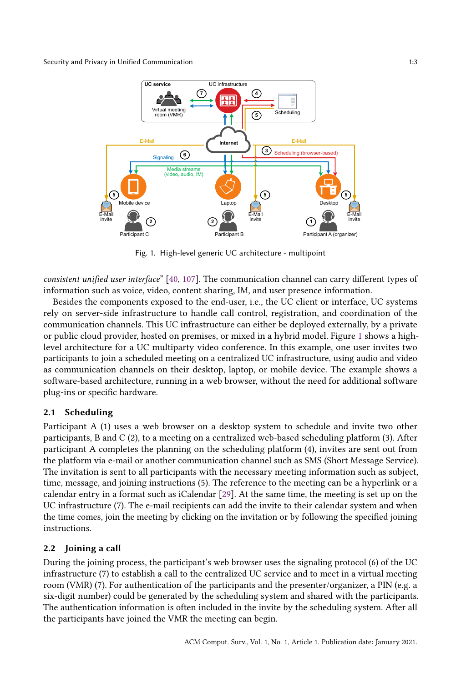

Fig. 1. High-level generic UC architecture - multipoint

consistent unified user interface" [40, 107]. The communication channel can carry different types of information such as voice, video, content sharing, IM, and user presence information.

Besides the components exposed to the end-user, i.e., the UC client or interface, UC systems rely on server-side infrastructure to handle call control, registration, and coordination of the communication channels. This UC infrastructure can either be deployed externally, by a private or public cloud provider, hosted on premises, or mixed in a hybrid model. Figure 1 shows a highlevel architecture for a UC multiparty video conference. In this example, one user invites two participants to join a scheduled meeting on a centralized UC infrastructure, using audio and video as communication channels on their desktop, laptop, or mobile device. The example shows a software-based architecture, running in a web browser, without the need for additional software plug-ins or specific hardware.

## 2.1 Scheduling

Participant A (1) uses a web browser on a desktop system to schedule and invite two other participants, B and C (2), to a meeting on a centralized web-based scheduling platform (3). After participant A completes the planning on the scheduling platform (4), invites are sent out from the platform via e-mail or another communication channel such as SMS (Short Message Service). The invitation is sent to all participants with the necessary meeting information such as subject, time, message, and joining instructions (5). The reference to the meeting can be a hyperlink or a calendar entry in a format such as iCalendar [29]. At the same time, the meeting is set up on the UC infrastructure (7). The e-mail recipients can add the invite to their calendar system and when the time comes, join the meeting by clicking on the invitation or by following the specified joining instructions.

# 2.2 Joining a call

During the joining process, the participant's web browser uses the signaling protocol (6) of the UC infrastructure (7) to establish a call to the centralized UC service and to meet in a virtual meeting room (VMR) (7). For authentication of the participants and the presenter/organizer, a PIN (e.g. a six-digit number) could be generated by the scheduling system and shared with the participants. The authentication information is often included in the invite by the scheduling system. After all the participants have joined the VMR the meeting can begin.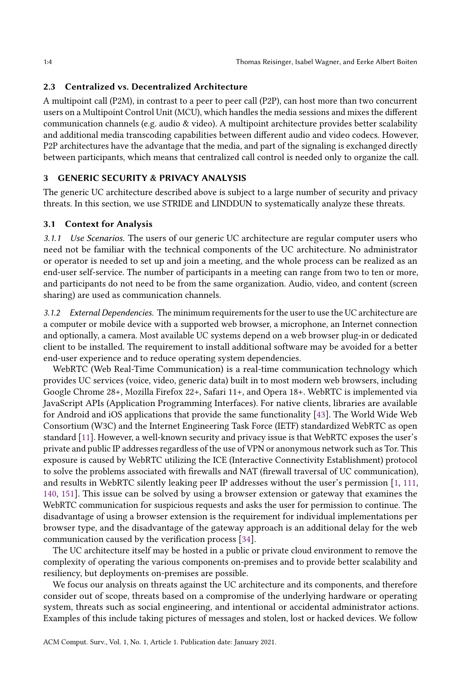## 2.3 Centralized vs. Decentralized Architecture

A multipoint call (P2M), in contrast to a peer to peer call (P2P), can host more than two concurrent users on a Multipoint Control Unit (MCU), which handles the media sessions and mixes the different communication channels (e.g. audio & video). A multipoint architecture provides better scalability and additional media transcoding capabilities between different audio and video codecs. However, P2P architectures have the advantage that the media, and part of the signaling is exchanged directly between participants, which means that centralized call control is needed only to organize the call.

## 3 GENERIC SECURITY & PRIVACY ANALYSIS

The generic UC architecture described above is subject to a large number of security and privacy threats. In this section, we use STRIDE and LINDDUN to systematically analyze these threats.

### 3.1 Context for Analysis

3.1.1 Use Scenarios. The users of our generic UC architecture are regular computer users who need not be familiar with the technical components of the UC architecture. No administrator or operator is needed to set up and join a meeting, and the whole process can be realized as an end-user self-service. The number of participants in a meeting can range from two to ten or more, and participants do not need to be from the same organization. Audio, video, and content (screen sharing) are used as communication channels.

3.1.2 External Dependencies. The minimum requirements for the user to use the UC architecture are a computer or mobile device with a supported web browser, a microphone, an Internet connection and optionally, a camera. Most available UC systems depend on a web browser plug-in or dedicated client to be installed. The requirement to install additional software may be avoided for a better end-user experience and to reduce operating system dependencies.

WebRTC (Web Real-Time Communication) is a real-time communication technology which provides UC services (voice, video, generic data) built in to most modern web browsers, including Google Chrome 28+, Mozilla Firefox 22+, Safari 11+, and Opera 18+. WebRTC is implemented via JavaScript APIs (Application Programming Interfaces). For native clients, libraries are available for Android and iOS applications that provide the same functionality [43]. The World Wide Web Consortium (W3C) and the Internet Engineering Task Force (IETF) standardized WebRTC as open standard [11]. However, a well-known security and privacy issue is that WebRTC exposes the user's private and public IP addresses regardless of the use of VPN or anonymous network such as Tor. This exposure is caused by WebRTC utilizing the ICE (Interactive Connectivity Establishment) protocol to solve the problems associated with firewalls and NAT (firewall traversal of UC communication), and results in WebRTC silently leaking peer IP addresses without the user's permission [1, 111, 140, 151]. This issue can be solved by using a browser extension or gateway that examines the WebRTC communication for suspicious requests and asks the user for permission to continue. The disadvantage of using a browser extension is the requirement for individual implementations per browser type, and the disadvantage of the gateway approach is an additional delay for the web communication caused by the verification process [34].

The UC architecture itself may be hosted in a public or private cloud environment to remove the complexity of operating the various components on-premises and to provide better scalability and resiliency, but deployments on-premises are possible.

We focus our analysis on threats against the UC architecture and its components, and therefore consider out of scope, threats based on a compromise of the underlying hardware or operating system, threats such as social engineering, and intentional or accidental administrator actions. Examples of this include taking pictures of messages and stolen, lost or hacked devices. We follow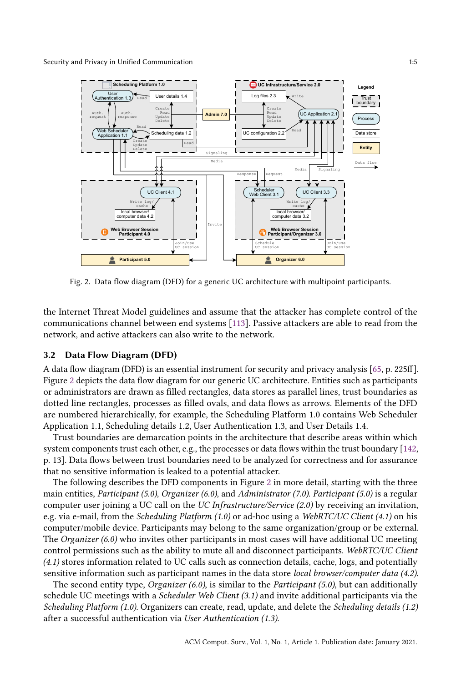Security and Privacy in Unified Communication 1:5



Fig. 2. Data flow diagram (DFD) for a generic UC architecture with multipoint participants.

the Internet Threat Model guidelines and assume that the attacker has complete control of the communications channel between end systems [113]. Passive attackers are able to read from the network, and active attackers can also write to the network.

#### 3.2 Data Flow Diagram (DFD)

A data flow diagram (DFD) is an essential instrument for security and privacy analysis [65, p. 225ff]. Figure 2 depicts the data flow diagram for our generic UC architecture. Entities such as participants or administrators are drawn as filled rectangles, data stores as parallel lines, trust boundaries as dotted line rectangles, processes as filled ovals, and data flows as arrows. Elements of the DFD are numbered hierarchically, for example, the Scheduling Platform 1.0 contains Web Scheduler Application 1.1, Scheduling details 1.2, User Authentication 1.3, and User Details 1.4.

Trust boundaries are demarcation points in the architecture that describe areas within which system components trust each other, e.g., the processes or data flows within the trust boundary [142, p. 13]. Data flows between trust boundaries need to be analyzed for correctness and for assurance that no sensitive information is leaked to a potential attacker.

The following describes the DFD components in Figure 2 in more detail, starting with the three main entities, Participant (5.0), Organizer (6.0), and Administrator (7.0). Participant (5.0) is a regular computer user joining a UC call on the UC Infrastructure/Service (2.0) by receiving an invitation, e.g. via e-mail, from the Scheduling Platform (1.0) or ad-hoc using a WebRTC/UC Client (4.1) on his computer/mobile device. Participants may belong to the same organization/group or be external. The Organizer (6.0) who invites other participants in most cases will have additional UC meeting control permissions such as the ability to mute all and disconnect participants. WebRTC/UC Client (4.1) stores information related to UC calls such as connection details, cache, logs, and potentially sensitive information such as participant names in the data store local browser/computer data (4.2).

The second entity type, *Organizer*  $(6.0)$ , is similar to the *Participant*  $(5.0)$ , but can additionally schedule UC meetings with a *Scheduler Web Client* (3.1) and invite additional participants via the Scheduling Platform (1.0). Organizers can create, read, update, and delete the Scheduling details (1.2) after a successful authentication via User Authentication (1.3).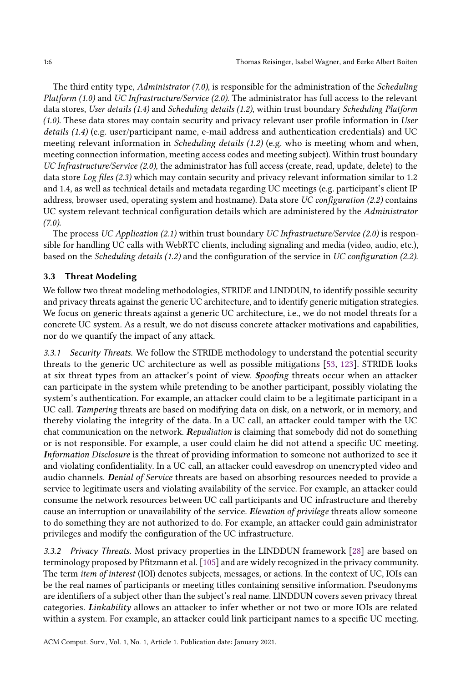The third entity type, Administrator (7.0), is responsible for the administration of the Scheduling Platform (1.0) and UC Infrastructure/Service (2.0). The administrator has full access to the relevant data stores, User details (1.4) and Scheduling details (1.2), within trust boundary Scheduling Platform (1.0). These data stores may contain security and privacy relevant user profile information in User details (1.4) (e.g. user/participant name, e-mail address and authentication credentials) and UC meeting relevant information in Scheduling details (1.2) (e.g. who is meeting whom and when, meeting connection information, meeting access codes and meeting subject). Within trust boundary UC Infrastructure/Service (2.0), the administrator has full access (create, read, update, delete) to the data store Log files (2.3) which may contain security and privacy relevant information similar to 1.2 and 1.4, as well as technical details and metadata regarding UC meetings (e.g. participant's client IP address, browser used, operating system and hostname). Data store UC configuration (2.2) contains UC system relevant technical configuration details which are administered by the Administrator  $(7.0)$ .

The process UC Application (2.1) within trust boundary UC Infrastructure/Service (2.0) is responsible for handling UC calls with WebRTC clients, including signaling and media (video, audio, etc.), based on the Scheduling details (1.2) and the configuration of the service in UC configuration (2.2).

## 3.3 Threat Modeling

We follow two threat modeling methodologies, STRIDE and LINDDUN, to identify possible security and privacy threats against the generic UC architecture, and to identify generic mitigation strategies. We focus on generic threats against a generic UC architecture, i.e., we do not model threats for a concrete UC system. As a result, we do not discuss concrete attacker motivations and capabilities, nor do we quantify the impact of any attack.

3.3.1 Security Threats. We follow the STRIDE methodology to understand the potential security threats to the generic UC architecture as well as possible mitigations [53, 123]. STRIDE looks at six threat types from an attacker's point of view. Spoofing threats occur when an attacker can participate in the system while pretending to be another participant, possibly violating the system's authentication. For example, an attacker could claim to be a legitimate participant in a UC call. Tampering threats are based on modifying data on disk, on a network, or in memory, and thereby violating the integrity of the data. In a UC call, an attacker could tamper with the UC chat communication on the network. Repudiation is claiming that somebody did not do something or is not responsible. For example, a user could claim he did not attend a specific UC meeting. Information Disclosure is the threat of providing information to someone not authorized to see it and violating confidentiality. In a UC call, an attacker could eavesdrop on unencrypted video and audio channels. Denial of Service threats are based on absorbing resources needed to provide a service to legitimate users and violating availability of the service. For example, an attacker could consume the network resources between UC call participants and UC infrastructure and thereby cause an interruption or unavailability of the service. *Elevation of privilege* threats allow someone to do something they are not authorized to do. For example, an attacker could gain administrator privileges and modify the configuration of the UC infrastructure.

3.3.2 Privacy Threats. Most privacy properties in the LINDDUN framework [28] are based on terminology proposed by Pfitzmann et al. [105] and are widely recognized in the privacy community. The term item of interest (IOI) denotes subjects, messages, or actions. In the context of UC, IOIs can be the real names of participants or meeting titles containing sensitive information. Pseudonyms are identifiers of a subject other than the subject's real name. LINDDUN covers seven privacy threat categories. Linkability allows an attacker to infer whether or not two or more IOIs are related within a system. For example, an attacker could link participant names to a specific UC meeting.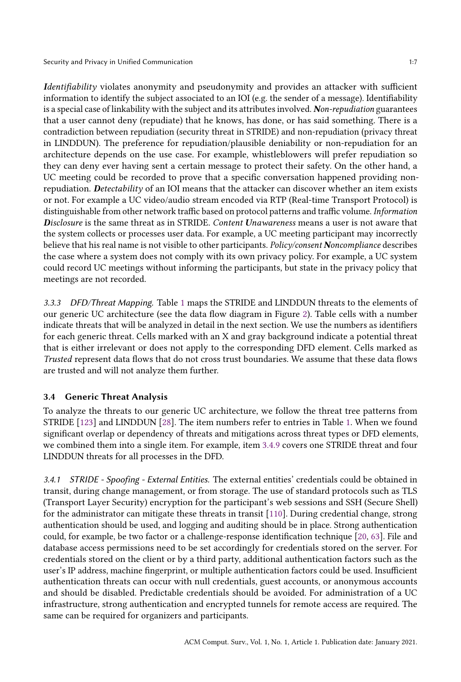Identifiability violates anonymity and pseudonymity and provides an attacker with sufficient information to identify the subject associated to an IOI (e.g. the sender of a message). Identifiability is a special case of linkability with the subject and its attributes involved. Non-repudiation guarantees that a user cannot deny (repudiate) that he knows, has done, or has said something. There is a contradiction between repudiation (security threat in STRIDE) and non-repudiation (privacy threat in LINDDUN). The preference for repudiation/plausible deniability or non-repudiation for an architecture depends on the use case. For example, whistleblowers will prefer repudiation so they can deny ever having sent a certain message to protect their safety. On the other hand, a UC meeting could be recorded to prove that a specific conversation happened providing nonrepudiation. Detectability of an IOI means that the attacker can discover whether an item exists or not. For example a UC video/audio stream encoded via RTP (Real-time Transport Protocol) is distinguishable from other network traffic based on protocol patterns and traffic volume. Information Disclosure is the same threat as in STRIDE. Content Unawareness means a user is not aware that the system collects or processes user data. For example, a UC meeting participant may incorrectly believe that his real name is not visible to other participants. Policy/consent Noncompliance describes the case where a system does not comply with its own privacy policy. For example, a UC system could record UC meetings without informing the participants, but state in the privacy policy that meetings are not recorded.

3.3.3 DFD/Threat Mapping. Table 1 maps the STRIDE and LINDDUN threats to the elements of our generic UC architecture (see the data flow diagram in Figure 2). Table cells with a number indicate threats that will be analyzed in detail in the next section. We use the numbers as identifiers for each generic threat. Cells marked with an X and gray background indicate a potential threat that is either irrelevant or does not apply to the corresponding DFD element. Cells marked as Trusted represent data flows that do not cross trust boundaries. We assume that these data flows are trusted and will not analyze them further.

# 3.4 Generic Threat Analysis

To analyze the threats to our generic UC architecture, we follow the threat tree patterns from STRIDE [123] and LINDDUN [28]. The item numbers refer to entries in Table 1. When we found significant overlap or dependency of threats and mitigations across threat types or DFD elements, we combined them into a single item. For example, item 3.4.9 covers one STRIDE threat and four LINDDUN threats for all processes in the DFD.

3.4.1 STRIDE - Spoofing - External Entities. The external entities' credentials could be obtained in transit, during change management, or from storage. The use of standard protocols such as TLS (Transport Layer Security) encryption for the participant's web sessions and SSH (Secure Shell) for the administrator can mitigate these threats in transit [110]. During credential change, strong authentication should be used, and logging and auditing should be in place. Strong authentication could, for example, be two factor or a challenge-response identification technique [20, 63]. File and database access permissions need to be set accordingly for credentials stored on the server. For credentials stored on the client or by a third party, additional authentication factors such as the user's IP address, machine fingerprint, or multiple authentication factors could be used. Insufficient authentication threats can occur with null credentials, guest accounts, or anonymous accounts and should be disabled. Predictable credentials should be avoided. For administration of a UC infrastructure, strong authentication and encrypted tunnels for remote access are required. The same can be required for organizers and participants.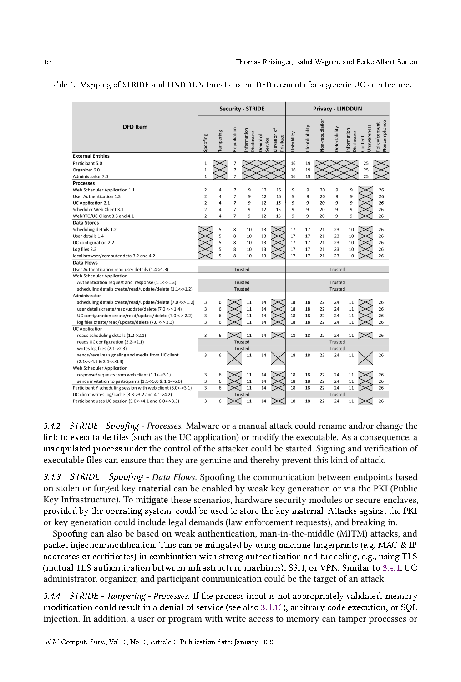|                                                                                    |                   |          | <b>Security - STRIDE</b> |                          |                      |                             | <b>Privacy - LINDDUN</b> |                |                 |               |                          |                        |                                 |
|------------------------------------------------------------------------------------|-------------------|----------|--------------------------|--------------------------|----------------------|-----------------------------|--------------------------|----------------|-----------------|---------------|--------------------------|------------------------|---------------------------------|
| <b>DFD Item</b>                                                                    | Spoofing          | ampering | Repudiation              | nformation<br>Disclosure | Denial of<br>service | đ<br>Elevation<br>Privilege | Linkability              | dentifiability | Non-repudiation | Detectability | nformation<br>Disclosure | Unawareness<br>Content | Noncompliance<br>Policy/consent |
| <b>External Entities</b><br>Participant 5.0<br>Organizer 6.0                       | 1<br>$\mathbf{1}$ |          | 7<br>$\overline{7}$      |                          |                      |                             | 16<br>16                 | 19<br>19       |                 |               |                          | 25<br>25               |                                 |
| Administrator 7.0                                                                  | $\overline{1}$    |          | $\overline{7}$           |                          |                      |                             | 16                       | 19             |                 |               |                          | 25                     |                                 |
| <b>Processes</b>                                                                   |                   |          |                          |                          |                      |                             |                          |                |                 |               |                          |                        |                                 |
| Web Scheduler Application 1.1                                                      | $\overline{2}$    | 4        | $\overline{7}$           | 9                        | 12                   | 15                          | 9                        | 9              | 20              | 9             | ç                        |                        | 26                              |
| User Authentication 1.3                                                            | $\overline{2}$    | 4        | $\overline{7}$           | 9                        | 12                   | 15                          | 9                        | 9              | 20              | 9             | 9                        |                        | 26                              |
| UC Application 2.1                                                                 | $\overline{2}$    | 4        | $\overline{7}$           | 9                        | 12                   | 15                          | 9                        | $\overline{9}$ | 20              | 9             | 9                        |                        | 26                              |
| Scheduler Web Client 3.1                                                           | $\overline{2}$    | 4        | $\overline{7}$           | 9                        | 12                   | 15                          | 9                        | 9              | 20              | 9             | 9                        |                        | 26                              |
| WebRTC/UC Client 3.3 and 4.1                                                       | $\overline{2}$    | 4        | $\overline{7}$           | 9                        | 12                   | 15                          | 9                        | 9              | 20              | 9             | 9                        |                        | 26                              |
| <b>Data Stores</b>                                                                 |                   |          |                          |                          |                      |                             |                          |                |                 |               |                          |                        |                                 |
| Scheduling details 1.2                                                             |                   | 5        | 8                        | 10                       | 13                   |                             | 17                       | 17             | 21              | 23            | 10                       |                        | 26                              |
| User details 1.4                                                                   |                   | 5        | 8                        | 10                       | 13                   |                             | 17                       | 17             | 21              | 23            | 10                       |                        | 26                              |
| UC configuration 2.2                                                               |                   | 5<br>5   | 8                        | 10                       | 13                   |                             | 17                       | 17             | 21              | 23            | 10                       |                        | 26                              |
| Log files 2.3                                                                      |                   | 5        | 8                        | 10                       | 13                   |                             | 17                       | 17             | 21              | 23            | 10                       |                        | 26                              |
| local browser/computer data 3.2 and 4.2<br><b>Data Flows</b>                       |                   |          | 8                        | 10                       | 13                   |                             | 17                       | 17             | 21              | 23            | 10                       |                        | 26                              |
|                                                                                    |                   |          |                          |                          |                      |                             |                          |                |                 |               |                          |                        |                                 |
| User Authentication read user details (1.4->1.3)                                   |                   |          |                          | Trusted                  |                      |                             |                          |                |                 | Trusted       |                          |                        |                                 |
| Web Scheduler Application<br>Authentication request and response (1.1 <- >>>>>1.3) |                   |          |                          | Trusted                  |                      |                             |                          |                |                 | Trusted       |                          |                        |                                 |
| scheduling details create/read/update/delete (1.1 <- > 1.2)                        |                   |          |                          | Trusted                  |                      |                             | Trusted                  |                |                 |               |                          |                        |                                 |
| Administrator                                                                      |                   |          |                          |                          |                      |                             |                          |                |                 |               |                          |                        |                                 |
| scheduling details create/read/update/delete (7.0 <-> 1.2)                         | 3                 | 6        |                          | 11                       | 14                   |                             | 18                       | 18             | 22              | 24            | 11                       |                        | 26                              |
| user details create/read/update/delete (7.0 <- > 1.4)                              | 3                 | 6        |                          | 11                       | 14                   |                             | 18                       | 18             | 22              | 24            | 11                       |                        | 26                              |
| UC configuration create/read/update/delete (7.0 <-> 2.2)                           | 3                 | 6        |                          | 11                       | 14                   |                             | 18                       | 18             | 22              | 24            | 11                       |                        | 26                              |
| log files create/read/update/delete (7.0 <- > 2.3)                                 | 3                 | 6        |                          | 11                       | 14                   |                             | 18                       | 18             | 22              | 24            | 11                       |                        | 26                              |
| <b>UC</b> Application                                                              |                   |          |                          |                          |                      |                             |                          |                |                 |               |                          |                        |                                 |
| reads scheduling details (1.2->2.1)                                                | 3                 | 6        |                          | 11                       | 14                   |                             | 18                       | 18             | 22              | 24            | 11                       |                        | 26                              |
| reads UC configuration (2.2->2.1)                                                  |                   |          |                          | Trusted                  |                      |                             |                          |                |                 | Trusted       |                          |                        |                                 |
| writes $log$ files $(2.1 - > 2.3)$                                                 |                   |          |                          | Trusted                  |                      |                             |                          |                |                 | Trusted       |                          |                        |                                 |
| sends/receives signaling and media from UC client                                  | 3                 | 6        |                          | 11                       | 14                   |                             | 18                       | 18             | 22              | 24            | 11                       |                        | 26                              |
| $(2.1<-24.1$ & $2.1<-23.3)$                                                        |                   |          |                          |                          |                      |                             |                          |                |                 |               |                          |                        |                                 |
| Web Scheduler Application                                                          |                   |          |                          |                          |                      |                             |                          |                |                 |               |                          |                        |                                 |
| response/requests from web client (1.1 <- > 3.1)                                   | 3                 | 6        |                          | 11                       | 14                   |                             | 18                       | 18             | 22              | 24            | 11                       |                        | 26                              |
| sends invitation to participants (1.1->5.0 & 1.1->6.0)                             | 3                 | 6        |                          | 11                       | 14                   |                             | 18                       | 18             | 22              | 24            | 11                       |                        | 26                              |
| Participant Y scheduling session with web client (6.0<->3.1)                       | 3                 | 6        |                          | 11                       | 14                   |                             | 18                       | 18             | 22              | 24            | 11                       |                        | 26                              |
| UC client writes log/cache (3.3->3.2 and 4.1->4.2)                                 |                   |          |                          | Trusted                  |                      |                             |                          |                |                 | Trusted       |                          |                        |                                 |
| Participant uses UC session (5.0 <- > > 4.1 and 6.0 <- > 3.3)                      | 3                 | 6        |                          | 11                       | 14                   |                             | 18                       | 18             | 22              | 24            | 11                       |                        | 26                              |

#### Table 1. Mapping of STRIDE and LINDDUN threats to the DFD elements for a generic UC architecture.

3.4.2 STRIDE - Spoofing - Processes. Malware or a manual attack could rename and/or change the link to executable files (such as the UC application) or modify the executable. As a consequence, a manipulated process under the control of the attacker could be started. Signing and verification of executable files can ensure that they are genuine and thereby prevent this kind of attack.

3.4.3 STRIDE - Spoofing - Data Flows. Spoofing the communication between endpoints based on stolen or forged key material can be enabled by weak key generation or via the PKI (Public Key Infrastructure). To mitigate these scenarios, hardware security modules or secure enclaves, provided by the operating system, could be used to store the key material. Attacks against the PKI or key generation could include legal demands (law enforcement requests), and breaking in.

Spoofing can also be based on weak authentication, man-in-the-middle (MITM) attacks, and packet injection/modification. This can be mitigated by using machine fingerprints (e.g. MAC & IP addresses or certificates) in combination with strong authentication and tunneling, e.g., using TLS (mutual TLS authentication between infrastructure machines), SSH, or VPN. Similar to 3.4.1, UC administrator, organizer, and participant communication could be the target of an attack.

3.4.4 STRIDE - Tampering - Processes. If the process input is not appropriately validated, memory modification could result in a denial of service (see also 3.4.12), arbitrary code execution, or SOL injection. In addition, a user or program with write access to memory can tamper processes or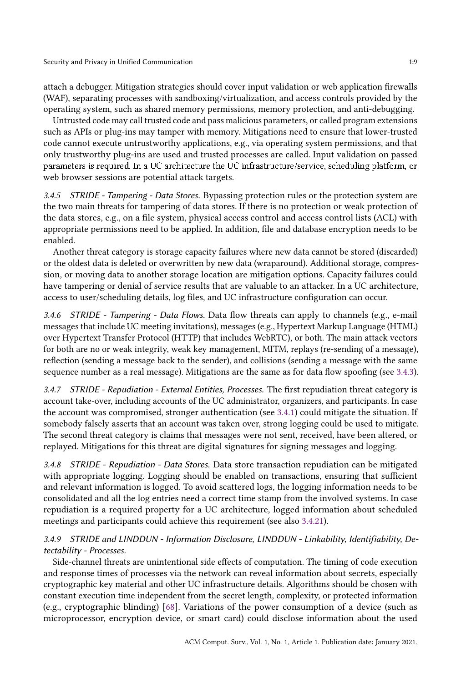attach a debugger. Mitigation strategies should cover input validation or web application firewalls (WAF), separating processes with sandboxing/virtualization, and access controls provided by the operating system, such as shared memory permissions, memory protection, and anti-debugging.

Untrusted code may call trusted code and pass malicious parameters, or called program extensions such as APIs or plug-ins may tamper with memory. Mitigations need to ensure that lower-trusted code cannot execute untrustworthy applications, e.g., via operating system permissions, and that only trustworthy plug-ins are used and trusted processes are called. Input validation on passed parameters is required. In a UC architecture the UC infrastructure/service, scheduling platform, or web browser sessions are potential attack targets.

3.4.5 STRIDE - Tampering - Data Stores. Bypassing protection rules or the protection system are the two main threats for tampering of data stores. If there is no protection or weak protection of the data stores, e.g., on a file system, physical access control and access control lists (ACL) with appropriate permissions need to be applied. In addition, file and database encryption needs to be enabled.

Another threat category is storage capacity failures where new data cannot be stored (discarded) or the oldest data is deleted or overwritten by new data (wraparound). Additional storage, compression, or moving data to another storage location are mitigation options. Capacity failures could have tampering or denial of service results that are valuable to an attacker. In a UC architecture, access to user/scheduling details, log files, and UC infrastructure configuration can occur.

3.4.6 STRIDE - Tampering - Data Flows. Data flow threats can apply to channels (e.g., e-mail messages that include UC meeting invitations), messages (e.g., Hypertext Markup Language (HTML) over Hypertext Transfer Protocol (HTTP) that includes WebRTC), or both. The main attack vectors for both are no or weak integrity, weak key management, MITM, replays (re-sending of a message), reflection (sending a message back to the sender), and collisions (sending a message with the same sequence number as a real message). Mitigations are the same as for data flow spoofing (see 3.4.3).

3.4.7 STRIDE - Repudiation - External Entities, Processes. The first repudiation threat category is account take-over, including accounts of the UC administrator, organizers, and participants. In case the account was compromised, stronger authentication (see 3.4.1) could mitigate the situation. If somebody falsely asserts that an account was taken over, strong logging could be used to mitigate. The second threat category is claims that messages were not sent, received, have been altered, or replayed. Mitigations for this threat are digital signatures for signing messages and logging.

3.4.8 STRIDE - Repudiation - Data Stores. Data store transaction repudiation can be mitigated with appropriate logging. Logging should be enabled on transactions, ensuring that sufficient and relevant information is logged. To avoid scattered logs, the logging information needs to be consolidated and all the log entries need a correct time stamp from the involved systems. In case repudiation is a required property for a UC architecture, logged information about scheduled meetings and participants could achieve this requirement (see also 3.4.21).

3.4.9 STRIDE and LINDDUN - Information Disclosure, LINDDUN - Linkability, Identifiability, Detectability - Processes.

Side-channel threats are unintentional side effects of computation. The timing of code execution and response times of processes via the network can reveal information about secrets, especially cryptographic key material and other UC infrastructure details. Algorithms should be chosen with constant execution time independent from the secret length, complexity, or protected information (e.g., cryptographic blinding) [68]. Variations of the power consumption of a device (such as microprocessor, encryption device, or smart card) could disclose information about the used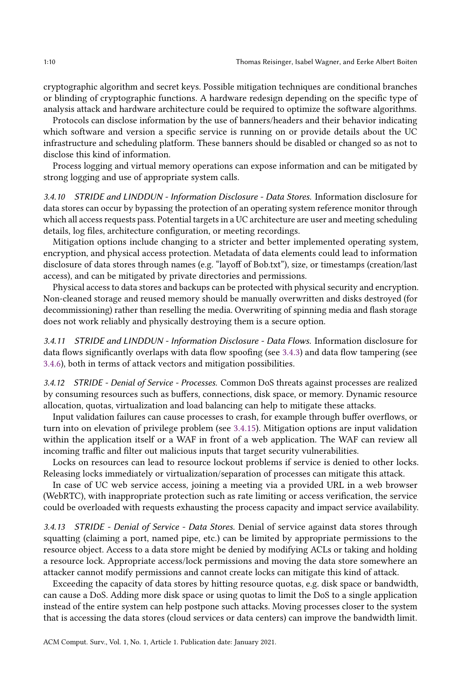cryptographic algorithm and secret keys. Possible mitigation techniques are conditional branches or blinding of cryptographic functions. A hardware redesign depending on the specific type of analysis attack and hardware architecture could be required to optimize the software algorithms.

Protocols can disclose information by the use of banners/headers and their behavior indicating which software and version a specific service is running on or provide details about the UC infrastructure and scheduling platform. These banners should be disabled or changed so as not to disclose this kind of information.

Process logging and virtual memory operations can expose information and can be mitigated by strong logging and use of appropriate system calls.

3.4.10 STRIDE and LINDDUN - Information Disclosure - Data Stores. Information disclosure for data stores can occur by bypassing the protection of an operating system reference monitor through which all access requests pass. Potential targets in a UC architecture are user and meeting scheduling details, log files, architecture configuration, or meeting recordings.

Mitigation options include changing to a stricter and better implemented operating system, encryption, and physical access protection. Metadata of data elements could lead to information disclosure of data stores through names (e.g. "layoff of Bob.txt"), size, or timestamps (creation/last access), and can be mitigated by private directories and permissions.

Physical access to data stores and backups can be protected with physical security and encryption. Non-cleaned storage and reused memory should be manually overwritten and disks destroyed (for decommissioning) rather than reselling the media. Overwriting of spinning media and flash storage does not work reliably and physically destroying them is a secure option.

3.4.11 STRIDE and LINDDUN - Information Disclosure - Data Flows. Information disclosure for data flows significantly overlaps with data flow spoofing (see 3.4.3) and data flow tampering (see 3.4.6), both in terms of attack vectors and mitigation possibilities.

3.4.12 STRIDE - Denial of Service - Processes. Common DoS threats against processes are realized by consuming resources such as buffers, connections, disk space, or memory. Dynamic resource allocation, quotas, virtualization and load balancing can help to mitigate these attacks.

Input validation failures can cause processes to crash, for example through buffer overflows, or turn into on elevation of privilege problem (see 3.4.15). Mitigation options are input validation within the application itself or a WAF in front of a web application. The WAF can review all incoming traffic and filter out malicious inputs that target security vulnerabilities.

Locks on resources can lead to resource lockout problems if service is denied to other locks. Releasing locks immediately or virtualization/separation of processes can mitigate this attack.

In case of UC web service access, joining a meeting via a provided URL in a web browser (WebRTC), with inappropriate protection such as rate limiting or access verification, the service could be overloaded with requests exhausting the process capacity and impact service availability.

3.4.13 STRIDE - Denial of Service - Data Stores. Denial of service against data stores through squatting (claiming a port, named pipe, etc.) can be limited by appropriate permissions to the resource object. Access to a data store might be denied by modifying ACLs or taking and holding a resource lock. Appropriate access/lock permissions and moving the data store somewhere an attacker cannot modify permissions and cannot create locks can mitigate this kind of attack.

Exceeding the capacity of data stores by hitting resource quotas, e.g. disk space or bandwidth, can cause a DoS. Adding more disk space or using quotas to limit the DoS to a single application instead of the entire system can help postpone such attacks. Moving processes closer to the system that is accessing the data stores (cloud services or data centers) can improve the bandwidth limit.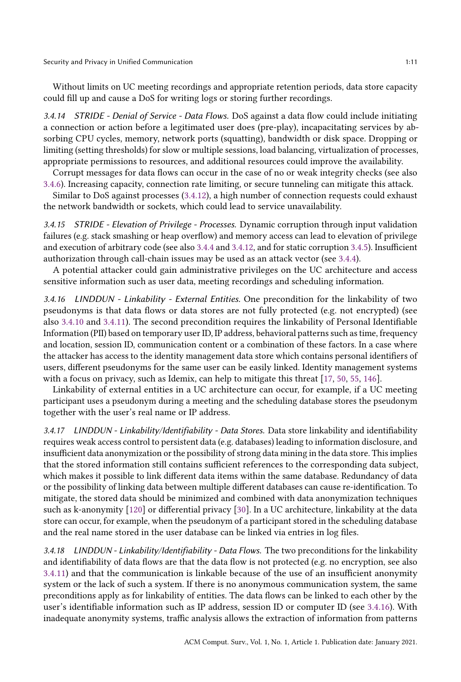Security and Privacy in Unified Communication 1:11

Without limits on UC meeting recordings and appropriate retention periods, data store capacity could fill up and cause a DoS for writing logs or storing further recordings.

3.4.14 STRIDE - Denial of Service - Data Flows. DoS against a data flow could include initiating a connection or action before a legitimated user does (pre-play), incapacitating services by absorbing CPU cycles, memory, network ports (squatting), bandwidth or disk space. Dropping or limiting (setting thresholds) for slow or multiple sessions, load balancing, virtualization of processes, appropriate permissions to resources, and additional resources could improve the availability.

Corrupt messages for data flows can occur in the case of no or weak integrity checks (see also 3.4.6). Increasing capacity, connection rate limiting, or secure tunneling can mitigate this attack.

Similar to DoS against processes (3.4.12), a high number of connection requests could exhaust the network bandwidth or sockets, which could lead to service unavailability.

3.4.15 STRIDE - Elevation of Privilege - Processes. Dynamic corruption through input validation failures (e.g. stack smashing or heap overflow) and memory access can lead to elevation of privilege and execution of arbitrary code (see also 3.4.4 and 3.4.12, and for static corruption 3.4.5). Insufficient authorization through call-chain issues may be used as an attack vector (see 3.4.4).

A potential attacker could gain administrative privileges on the UC architecture and access sensitive information such as user data, meeting recordings and scheduling information.

3.4.16 LINDDUN - Linkability - External Entities. One precondition for the linkability of two pseudonyms is that data flows or data stores are not fully protected (e.g. not encrypted) (see also 3.4.10 and 3.4.11). The second precondition requires the linkability of Personal Identifiable Information (PII) based on temporary user ID, IP address, behavioral patterns such as time, frequency and location, session ID, communication content or a combination of these factors. In a case where the attacker has access to the identity management data store which contains personal identifiers of users, different pseudonyms for the same user can be easily linked. Identity management systems with a focus on privacy, such as Idemix, can help to mitigate this threat [17, 50, 55, 146].

Linkability of external entities in a UC architecture can occur, for example, if a UC meeting participant uses a pseudonym during a meeting and the scheduling database stores the pseudonym together with the user's real name or IP address.

3.4.17 LINDDUN - Linkability/Identifiability - Data Stores. Data store linkability and identifiability requires weak access control to persistent data (e.g. databases) leading to information disclosure, and insufficient data anonymization or the possibility of strong data mining in the data store. This implies that the stored information still contains sufficient references to the corresponding data subject, which makes it possible to link different data items within the same database. Redundancy of data or the possibility of linking data between multiple different databases can cause re-identification. To mitigate, the stored data should be minimized and combined with data anonymization techniques such as k-anonymity [120] or differential privacy [30]. In a UC architecture, linkability at the data store can occur, for example, when the pseudonym of a participant stored in the scheduling database and the real name stored in the user database can be linked via entries in log files.

3.4.18 LINDDUN - Linkability/Identifiability - Data Flows. The two preconditions for the linkability and identifiability of data flows are that the data flow is not protected (e.g. no encryption, see also 3.4.11) and that the communication is linkable because of the use of an insufficient anonymity system or the lack of such a system. If there is no anonymous communication system, the same preconditions apply as for linkability of entities. The data flows can be linked to each other by the user's identifiable information such as IP address, session ID or computer ID (see 3.4.16). With inadequate anonymity systems, traffic analysis allows the extraction of information from patterns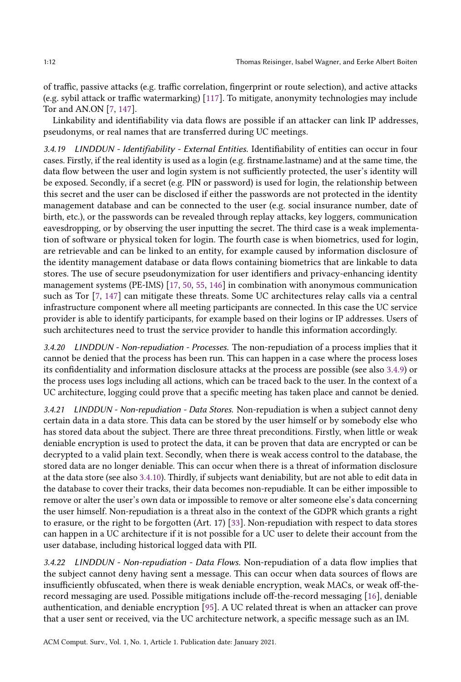of traffic, passive attacks (e.g. traffic correlation, fingerprint or route selection), and active attacks (e.g. sybil attack or traffic watermarking) [117]. To mitigate, anonymity technologies may include Tor and AN.ON [7, 147].

Linkability and identifiability via data flows are possible if an attacker can link IP addresses, pseudonyms, or real names that are transferred during UC meetings.

3.4.19 LINDDUN - Identifiability - External Entities. Identifiability of entities can occur in four cases. Firstly, if the real identity is used as a login (e.g. firstname.lastname) and at the same time, the data flow between the user and login system is not sufficiently protected, the user's identity will be exposed. Secondly, if a secret (e.g. PIN or password) is used for login, the relationship between this secret and the user can be disclosed if either the passwords are not protected in the identity management database and can be connected to the user (e.g. social insurance number, date of birth, etc.), or the passwords can be revealed through replay attacks, key loggers, communication eavesdropping, or by observing the user inputting the secret. The third case is a weak implementation of software or physical token for login. The fourth case is when biometrics, used for login, are retrievable and can be linked to an entity, for example caused by information disclosure of the identity management database or data flows containing biometrics that are linkable to data stores. The use of secure pseudonymization for user identifiers and privacy-enhancing identity management systems (PE-IMS) [17, 50, 55, 146] in combination with anonymous communication such as Tor [7, 147] can mitigate these threats. Some UC architectures relay calls via a central infrastructure component where all meeting participants are connected. In this case the UC service provider is able to identify participants, for example based on their logins or IP addresses. Users of such architectures need to trust the service provider to handle this information accordingly.

3.4.20 LINDDUN - Non-repudiation - Processes. The non-repudiation of a process implies that it cannot be denied that the process has been run. This can happen in a case where the process loses its confidentiality and information disclosure attacks at the process are possible (see also 3.4.9) or the process uses logs including all actions, which can be traced back to the user. In the context of a UC architecture, logging could prove that a specific meeting has taken place and cannot be denied.

3.4.21 LINDDUN - Non-repudiation - Data Stores. Non-repudiation is when a subject cannot deny certain data in a data store. This data can be stored by the user himself or by somebody else who has stored data about the subject. There are three threat preconditions. Firstly, when little or weak deniable encryption is used to protect the data, it can be proven that data are encrypted or can be decrypted to a valid plain text. Secondly, when there is weak access control to the database, the stored data are no longer deniable. This can occur when there is a threat of information disclosure at the data store (see also 3.4.10). Thirdly, if subjects want deniability, but are not able to edit data in the database to cover their tracks, their data becomes non-repudiable. It can be either impossible to remove or alter the user's own data or impossible to remove or alter someone else's data concerning the user himself. Non-repudiation is a threat also in the context of the GDPR which grants a right to erasure, or the right to be forgotten (Art. 17) [33]. Non-repudiation with respect to data stores can happen in a UC architecture if it is not possible for a UC user to delete their account from the user database, including historical logged data with PII.

3.4.22 LINDDUN - Non-repudiation - Data Flows. Non-repudiation of a data flow implies that the subject cannot deny having sent a message. This can occur when data sources of flows are insufficiently obfuscated, when there is weak deniable encryption, weak MACs, or weak off-therecord messaging are used. Possible mitigations include off-the-record messaging [16], deniable authentication, and deniable encryption [95]. A UC related threat is when an attacker can prove that a user sent or received, via the UC architecture network, a specific message such as an IM.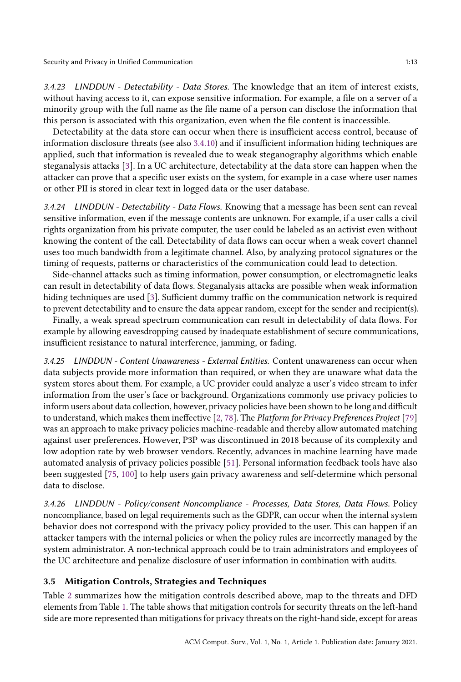Security and Privacy in Unified Communication 1:13

3.4.23 LINDDUN - Detectability - Data Stores. The knowledge that an item of interest exists, without having access to it, can expose sensitive information. For example, a file on a server of a minority group with the full name as the file name of a person can disclose the information that this person is associated with this organization, even when the file content is inaccessible.

Detectability at the data store can occur when there is insufficient access control, because of information disclosure threats (see also 3.4.10) and if insufficient information hiding techniques are applied, such that information is revealed due to weak steganography algorithms which enable steganalysis attacks [3]. In a UC architecture, detectability at the data store can happen when the attacker can prove that a specific user exists on the system, for example in a case where user names or other PII is stored in clear text in logged data or the user database.

3.4.24 LINDDUN - Detectability - Data Flows. Knowing that a message has been sent can reveal sensitive information, even if the message contents are unknown. For example, if a user calls a civil rights organization from his private computer, the user could be labeled as an activist even without knowing the content of the call. Detectability of data flows can occur when a weak covert channel uses too much bandwidth from a legitimate channel. Also, by analyzing protocol signatures or the timing of requests, patterns or characteristics of the communication could lead to detection.

Side-channel attacks such as timing information, power consumption, or electromagnetic leaks can result in detectability of data flows. Steganalysis attacks are possible when weak information hiding techniques are used [3]. Sufficient dummy traffic on the communication network is required to prevent detectability and to ensure the data appear random, except for the sender and recipient(s).

Finally, a weak spread spectrum communication can result in detectability of data flows. For example by allowing eavesdropping caused by inadequate establishment of secure communications, insufficient resistance to natural interference, jamming, or fading.

3.4.25 LINDDUN - Content Unawareness - External Entities. Content unawareness can occur when data subjects provide more information than required, or when they are unaware what data the system stores about them. For example, a UC provider could analyze a user's video stream to infer information from the user's face or background. Organizations commonly use privacy policies to inform users about data collection, however, privacy policies have been shown to be long and difficult to understand, which makes them ineffective [2, 78]. The Platform for Privacy Preferences Project [79] was an approach to make privacy policies machine-readable and thereby allow automated matching against user preferences. However, P3P was discontinued in 2018 because of its complexity and low adoption rate by web browser vendors. Recently, advances in machine learning have made automated analysis of privacy policies possible [51]. Personal information feedback tools have also been suggested [75, 100] to help users gain privacy awareness and self-determine which personal data to disclose.

3.4.26 LINDDUN - Policy/consent Noncompliance - Processes, Data Stores, Data Flows. Policy noncompliance, based on legal requirements such as the GDPR, can occur when the internal system behavior does not correspond with the privacy policy provided to the user. This can happen if an attacker tampers with the internal policies or when the policy rules are incorrectly managed by the system administrator. A non-technical approach could be to train administrators and employees of the UC architecture and penalize disclosure of user information in combination with audits.

## 3.5 Mitigation Controls, Strategies and Techniques

Table 2 summarizes how the mitigation controls described above, map to the threats and DFD elements from Table 1. The table shows that mitigation controls for security threats on the left-hand side are more represented than mitigations for privacy threats on the right-hand side, except for areas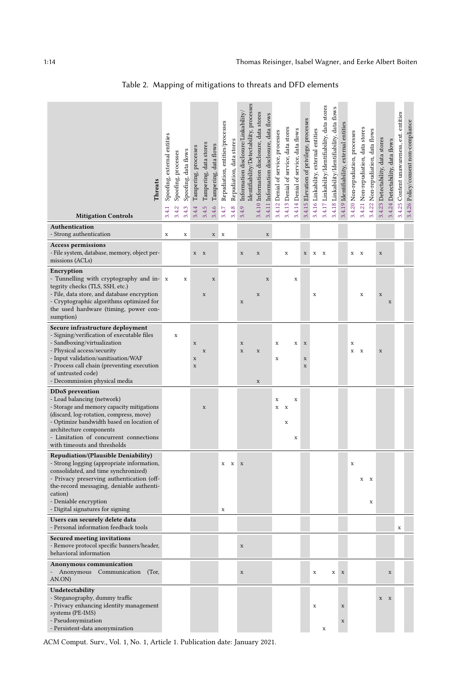| Threats<br><b>Mitigation Controls</b>                                                                                                                                                                                                                                                             | Spoofing, external entities<br>3.4.1 | Spoofing, processes<br>3.4.2 | Spoofing, data flows<br>3.4.3 | Tampering, processes<br>3.4.4             | Tampering, data stores<br>3.4.5 | Tampering, data flows<br>3.4.6 | Repudiation, entities/processes<br>3.4.7 | Repudiation, data stores<br>3.4.8 | Identifiability/Detectability, processes<br>Information disclosure/Linkability/<br>3.4.9 | 3.4.10 Information disclosure, data stores | 3.4.11 Information disclosure, data flows | 3.4.12 Denial of service, processes | 3.4.13 Denial of service, data stores | 3.4.14 Denial of service, data flows | 3.4.15 Elevation of privilege, processes  | 3.4.16 Linkability, external entities | 3.4.17 Linkability/Identifiability, data stores | 3.4.18 Linkability/Identifiability, data flows | 3.4.19 Identifiability, external entities | 3.4.20 Non-repudiation, processes | 3.4.21 Non-repudiation, data stores | 3.4.22 Non-repudiation, data flows | 3.4.23 Detectability, data stores | 3.4.24 Detectability, data flows | 3.4.25 Content unawareness, ext. entities | 3.4.26 Policy/consent non-compliance |
|---------------------------------------------------------------------------------------------------------------------------------------------------------------------------------------------------------------------------------------------------------------------------------------------------|--------------------------------------|------------------------------|-------------------------------|-------------------------------------------|---------------------------------|--------------------------------|------------------------------------------|-----------------------------------|------------------------------------------------------------------------------------------|--------------------------------------------|-------------------------------------------|-------------------------------------|---------------------------------------|--------------------------------------|-------------------------------------------|---------------------------------------|-------------------------------------------------|------------------------------------------------|-------------------------------------------|-----------------------------------|-------------------------------------|------------------------------------|-----------------------------------|----------------------------------|-------------------------------------------|--------------------------------------|
| Authentication<br>- Strong authentication                                                                                                                                                                                                                                                         | x                                    |                              | x                             |                                           |                                 | $\mathbf x$                    | x                                        |                                   |                                                                                          |                                            | $\mathbf x$                               |                                     |                                       |                                      |                                           |                                       |                                                 |                                                |                                           |                                   |                                     |                                    |                                   |                                  |                                           |                                      |
| <b>Access permissions</b><br>- File system, database, memory, object per-<br>missions (ACLs)                                                                                                                                                                                                      |                                      |                              |                               | $X$ X                                     |                                 |                                |                                          |                                   | $\mathbf x$                                                                              | $\mathbf X$                                |                                           |                                     | x                                     |                                      | $\mathbf x$                               | $\mathbf x$                           | $\mathbf{x}$                                    |                                                |                                           | $X$ X                             |                                     |                                    | $\mathbf x$                       |                                  |                                           |                                      |
| Encryption<br>- Tunnelling with cryptography and in-<br>tegrity checks (TLS, SSH, etc.)<br>- File, data store, and database encryption<br>- Cryptographic algorithms optimized for<br>the used hardware (timing, power con-<br>sumption)                                                          | $\mathbf x$                          |                              | $\mathbf x$                   |                                           | X                               | $\mathbf x$                    |                                          |                                   | $\mathbf x$                                                                              | $\mathbf x$                                | $\mathbf x$                               |                                     |                                       | $\mathbf x$                          |                                           | X                                     |                                                 |                                                |                                           |                                   | $\mathbf x$                         |                                    | $\mathbf x$                       | $\mathbf x$                      |                                           |                                      |
| Secure infrastructure deployment<br>- Signing/verification of executable files<br>- Sandboxing/virtualization<br>- Physical access/security<br>- Input validation/sanitisation/WAF<br>- Process call chain (preventing execution<br>of untrusted code)<br>- Decommission physical media           |                                      | $\mathbf x$                  |                               | $\mathbf x$<br>$\mathbf x$<br>$\mathbf x$ | $\mathbf x$                     |                                |                                          |                                   | $\mathbf x$<br>$\mathbf x$                                                               | $\mathbf x$<br>$\mathbf x$                 |                                           | $\mathbf x$<br>$\mathbf x$          |                                       | $\mathbf x$                          | $\mathbf X$<br>$\mathbf x$<br>$\mathbf x$ |                                       |                                                 |                                                |                                           | $\mathbf x$<br>$\mathbf x$        | $\mathbf{x}$                        |                                    | $\mathbf x$                       |                                  |                                           |                                      |
| <b>DDoS</b> prevention<br>- Load balancing (network)<br>- Storage and memory capacity mitigations<br>(discard, log-rotation, compress, move)<br>- Optimize bandwidth based on location of<br>architecture components<br>- Limitation of concurrent connections<br>with timeouts and thresholds    |                                      |                              |                               |                                           | $\mathbf x$                     |                                |                                          |                                   |                                                                                          |                                            |                                           | X<br>$\mathbf x$                    | X<br>x                                | $\mathbf x$<br>x                     |                                           |                                       |                                                 |                                                |                                           |                                   |                                     |                                    |                                   |                                  |                                           |                                      |
| <b>Repudiation/(Plausible Deniability)</b><br>- Strong logging (appropriate information,<br>consolidated, and time synchronized)<br>- Privacy preserving authentication (off-<br>the-record messaging, deniable authenti-<br>cation)<br>- Deniable encryption<br>- Digital signatures for signing |                                      |                              |                               |                                           |                                 |                                | X<br>$\mathbf x$                         | $\mathbf x$                       | $\mathbf x$                                                                              |                                            |                                           |                                     |                                       |                                      |                                           |                                       |                                                 |                                                |                                           | $\mathbf x$                       | $\mathbf X-\mathbf X$               | x                                  |                                   |                                  |                                           |                                      |
| Users can securely delete data<br>- Personal information feedback tools                                                                                                                                                                                                                           |                                      |                              |                               |                                           |                                 |                                |                                          |                                   |                                                                                          |                                            |                                           |                                     |                                       |                                      |                                           |                                       |                                                 |                                                |                                           |                                   |                                     |                                    |                                   |                                  | x                                         |                                      |
| <b>Secured meeting invitations</b><br>- Remove protocol specific banners/header,<br>behavioral information                                                                                                                                                                                        |                                      |                              |                               |                                           |                                 |                                |                                          |                                   | $\mathbf x$                                                                              |                                            |                                           |                                     |                                       |                                      |                                           |                                       |                                                 |                                                |                                           |                                   |                                     |                                    |                                   |                                  |                                           |                                      |
| Anonymous communication<br>Anonymous Communication (Tor,<br>AN.ON)                                                                                                                                                                                                                                |                                      |                              |                               |                                           |                                 |                                |                                          |                                   | $\mathbf x$                                                                              |                                            |                                           |                                     |                                       |                                      |                                           | $\mathbf x$                           |                                                 | $\mathbf x$                                    | $\mathbf x$                               |                                   |                                     |                                    |                                   | $\mathbf x$                      |                                           |                                      |
| Undetectability<br>- Steganography, dummy traffic<br>- Privacy enhancing identity management<br>systems (PE-IMS)<br>- Pseudonymization<br>- Persistent-data anonymization                                                                                                                         |                                      |                              |                               |                                           |                                 |                                |                                          |                                   |                                                                                          |                                            |                                           |                                     |                                       |                                      |                                           | $\mathbf x$                           | x                                               |                                                | $\mathbf x$<br>$\mathbf x$                |                                   |                                     |                                    | $X$ X                             |                                  |                                           |                                      |

Table 2. Mapping of mitigations to threats and DFD elements

ACM Comput. Surv., Vol. 1, No. 1, Article 1. Publication date: January 2021.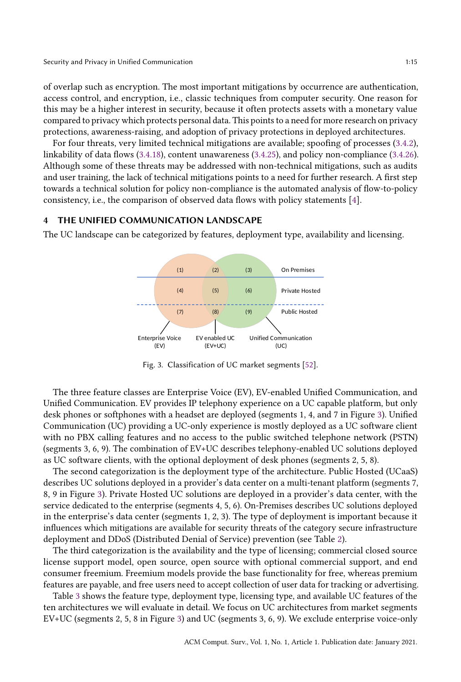Security and Privacy in Unified Communication 1:15

of overlap such as encryption. The most important mitigations by occurrence are authentication, access control, and encryption, i.e., classic techniques from computer security. One reason for this may be a higher interest in security, because it often protects assets with a monetary value compared to privacy which protects personal data. This points to a need for more research on privacy protections, awareness-raising, and adoption of privacy protections in deployed architectures.

For four threats, very limited technical mitigations are available; spoofing of processes (3.4.2), linkability of data flows (3.4.18), content unawareness (3.4.25), and policy non-compliance (3.4.26). Although some of these threats may be addressed with non-technical mitigations, such as audits and user training, the lack of technical mitigations points to a need for further research. A first step towards a technical solution for policy non-compliance is the automated analysis of flow-to-policy consistency, i.e., the comparison of observed data flows with policy statements [4].

## 4 THE UNIFIED COMMUNICATION LANDSCAPE

The UC landscape can be categorized by features, deployment type, availability and licensing.



Fig. 3. Classification of UC market segments [52].

The three feature classes are Enterprise Voice (EV), EV-enabled Unified Communication, and Unified Communication. EV provides IP telephony experience on a UC capable platform, but only desk phones or softphones with a headset are deployed (segments 1, 4, and 7 in Figure 3). Unified Communication (UC) providing a UC-only experience is mostly deployed as a UC software client with no PBX calling features and no access to the public switched telephone network (PSTN) (segments 3, 6, 9). The combination of EV+UC describes telephony-enabled UC solutions deployed as UC software clients, with the optional deployment of desk phones (segments 2, 5, 8).

The second categorization is the deployment type of the architecture. Public Hosted (UCaaS) describes UC solutions deployed in a provider's data center on a multi-tenant platform (segments 7, 8, 9 in Figure 3). Private Hosted UC solutions are deployed in a provider's data center, with the service dedicated to the enterprise (segments 4, 5, 6). On-Premises describes UC solutions deployed in the enterprise's data center (segments 1, 2, 3). The type of deployment is important because it influences which mitigations are available for security threats of the category secure infrastructure deployment and DDoS (Distributed Denial of Service) prevention (see Table 2).

The third categorization is the availability and the type of licensing; commercial closed source license support model, open source, open source with optional commercial support, and end consumer freemium. Freemium models provide the base functionality for free, whereas premium features are payable, and free users need to accept collection of user data for tracking or advertising.

Table 3 shows the feature type, deployment type, licensing type, and available UC features of the ten architectures we will evaluate in detail. We focus on UC architectures from market segments EV+UC (segments 2, 5, 8 in Figure 3) and UC (segments 3, 6, 9). We exclude enterprise voice-only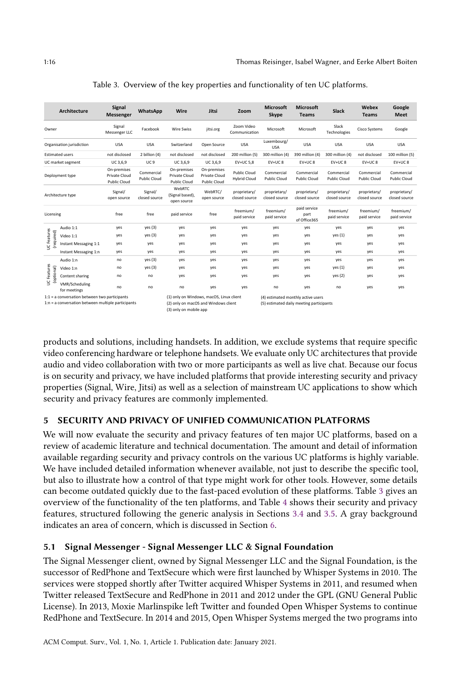|                           | Architecture                                                                                        | Signal<br><b>Messenger</b>                                 | WhatsApp                   | Wire                                                                                                       | Jitsi                                        | Zoom                                       | <b>Microsoft</b><br>Skype         | <b>Microsoft</b><br><b>Teams</b>                                               | <b>Slack</b>                      | Webex<br><b>Teams</b>         | Google<br><b>Meet</b>             |
|---------------------------|-----------------------------------------------------------------------------------------------------|------------------------------------------------------------|----------------------------|------------------------------------------------------------------------------------------------------------|----------------------------------------------|--------------------------------------------|-----------------------------------|--------------------------------------------------------------------------------|-----------------------------------|-------------------------------|-----------------------------------|
| Owner                     |                                                                                                     | Signal<br>Messenger LLC                                    | Facebook                   | <b>Wire Swiss</b>                                                                                          | jitsi.org                                    | Zoom Video<br>Communication                | Microsoft                         | Microsoft                                                                      | Slack<br>Technologies             | <b>Cisco Systems</b>          | Google                            |
|                           | Organisation jurisdiction                                                                           | <b>USA</b>                                                 | <b>USA</b>                 | Switzerland                                                                                                | Open Source                                  | <b>USA</b>                                 | Luxembourg/<br><b>USA</b>         | <b>USA</b>                                                                     | <b>USA</b>                        | <b>USA</b>                    | <b>USA</b>                        |
|                           | <b>Estimated users</b>                                                                              | not disclosed                                              | 2 billion (4)              | not disclosed                                                                                              | not disclosed                                | 200 million (5)                            | 300 million (4)                   | 390 million (4)                                                                | 300 million (4)                   | not disclosed                 | 100 million (5)                   |
|                           | UC market segment                                                                                   | UC 3,6,9                                                   | UC <sub>9</sub>            | UC 3,6,9                                                                                                   | UC 3,6,9                                     | EV+UC 5,8                                  | $EV+UC8$                          | EV+UC8                                                                         | $EV+UC8$                          | $EV+UC8$                      | $EV+UC8$                          |
|                           | Deployment type                                                                                     | On-premises<br><b>Private Cloud</b><br><b>Public Cloud</b> | Commercial<br>Public Cloud | On-premises<br>Private Cloud<br><b>Public Cloud</b>                                                        | On-premises<br>Private Cloud<br>Public Cloud | <b>Public Cloud</b><br><b>Hybrid Cloud</b> | Commercial<br><b>Public Cloud</b> | Commercial<br><b>Public Cloud</b>                                              | Commercial<br><b>Public Cloud</b> | Commercial<br>Public Cloud    | Commercial<br><b>Public Cloud</b> |
|                           | Architecture type                                                                                   | Signal/<br>open source                                     | Signal/<br>closed source   | WebRTC<br>(Signal based),<br>open source                                                                   | WebRTC/<br>open source                       | proprietary/<br>closed source              | proprietary/<br>closed source     | proprietary/<br>closed source                                                  | proprietary/<br>closed source     | proprietary/<br>closed source | proprietary/<br>closed source     |
| Licensing                 |                                                                                                     | free                                                       | free                       | paid service                                                                                               | free                                         | freemium/<br>paid service                  | freemium/<br>paid service         | paid service<br>part<br>of Office365                                           | freemium/<br>paid service         | freemium/<br>paid service     | freemium/<br>paid service         |
|                           | Audio 1:1                                                                                           | yes                                                        | yes(3)                     | yes                                                                                                        | yes                                          | yes                                        | yes                               | yes                                                                            | yes                               | yes                           | yes                               |
|                           | Video 1:1                                                                                           | yes                                                        | yes(3)                     | yes                                                                                                        | yes                                          | yes                                        | yes                               | yes                                                                            | yes(1)                            | yes                           | yes                               |
| JC Features<br>(required) | Instant Messaging 1:1                                                                               | yes                                                        | yes                        | yes                                                                                                        | yes                                          | yes                                        | yes                               | yes                                                                            | yes                               | yes                           | yes                               |
|                           | Instant Messaging 1:n                                                                               | yes                                                        | yes                        | yes                                                                                                        | yes                                          | yes                                        | yes                               | yes                                                                            | yes                               | yes                           | yes                               |
|                           | Audio 1:n                                                                                           | no                                                         | yes(3)                     | yes                                                                                                        | yes                                          | yes                                        | yes                               | yes                                                                            | yes                               | yes                           | yes                               |
|                           | Video 1:n                                                                                           | no                                                         | yes(3)                     | yes                                                                                                        | yes                                          | yes                                        | yes                               | yes                                                                            | yes (1)                           | yes                           | yes                               |
| UC Features<br>(optional) | Content sharing                                                                                     | no                                                         | no                         | yes                                                                                                        | yes                                          | yes                                        | yes                               | yes                                                                            | yes (2)                           | yes                           | yes                               |
|                           | VMR/Scheduling<br>for meetings                                                                      | no                                                         | no                         | no                                                                                                         | yes                                          | yes                                        | no                                | yes                                                                            | no                                | yes                           | yes                               |
|                           | 1:1 = a conversation between two participants<br>1:n = a conversation between multiple participants |                                                            |                            | (1) only on Windows, macOS, Linux client<br>(2) only on macOS and Windows client<br>(3) only on mobile app |                                              |                                            |                                   | (4) estimated monthly active users<br>(5) estimated daily meeting participants |                                   |                               |                                   |

Table 3. Overview of the key properties and functionality of ten UC platforms.

products and solutions, including handsets. In addition, we exclude systems that require specific video conferencing hardware or telephone handsets. We evaluate only UC architectures that provide audio and video collaboration with two or more participants as well as live chat. Because our focus is on security and privacy, we have included platforms that provide interesting security and privacy properties (Signal, Wire, Jitsi) as well as a selection of mainstream UC applications to show which security and privacy features are commonly implemented.

## 5 SECURITY AND PRIVACY OF UNIFIED COMMUNICATION PLATFORMS

We will now evaluate the security and privacy features of ten major UC platforms, based on a review of academic literature and technical documentation. The amount and detail of information available regarding security and privacy controls on the various UC platforms is highly variable. We have included detailed information whenever available, not just to describe the specific tool, but also to illustrate how a control of that type might work for other tools. However, some details can become outdated quickly due to the fast-paced evolution of these platforms. Table 3 gives an overview of the functionality of the ten platforms, and Table 4 shows their security and privacy features, structured following the generic analysis in Sections 3.4 and 3.5. A gray background indicates an area of concern, which is discussed in Section 6.

## 5.1 Signal Messenger - Signal Messenger LLC & Signal Foundation

The Signal Messenger client, owned by Signal Messenger LLC and the Signal Foundation, is the successor of RedPhone and TextSecure which were first launched by Whisper Systems in 2010. The services were stopped shortly after Twitter acquired Whisper Systems in 2011, and resumed when Twitter released TextSecure and RedPhone in 2011 and 2012 under the GPL (GNU General Public License). In 2013, Moxie Marlinspike left Twitter and founded Open Whisper Systems to continue RedPhone and TextSecure. In 2014 and 2015, Open Whisper Systems merged the two programs into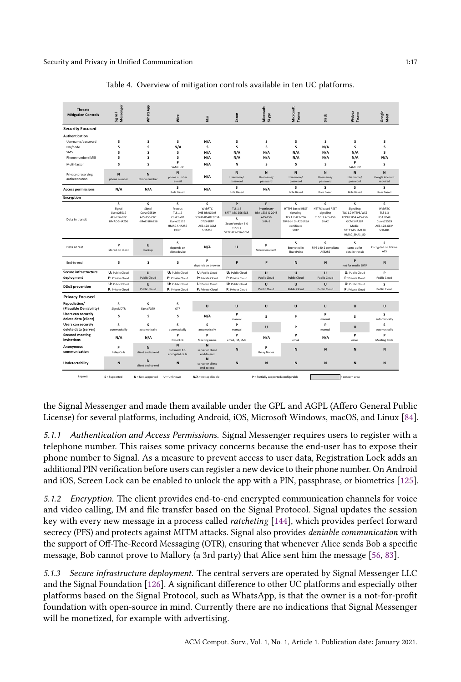| <b>Threats</b><br><b>Mitigation Controls</b>                                                                                                                     | Signal<br>Messenger                                     | WhatsApp                                                | Wire                                                                                         | litsi                                                                                      | Zoom                                                                                                   | Microsoft<br>Skype                                                       | Microsoft<br>Teams                                                                                        | Slack                                                                            | Webex<br>Teams                                                                                                      | Google<br>Meet                                                                                  |
|------------------------------------------------------------------------------------------------------------------------------------------------------------------|---------------------------------------------------------|---------------------------------------------------------|----------------------------------------------------------------------------------------------|--------------------------------------------------------------------------------------------|--------------------------------------------------------------------------------------------------------|--------------------------------------------------------------------------|-----------------------------------------------------------------------------------------------------------|----------------------------------------------------------------------------------|---------------------------------------------------------------------------------------------------------------------|-------------------------------------------------------------------------------------------------|
| <b>Security Focused</b>                                                                                                                                          |                                                         |                                                         |                                                                                              |                                                                                            |                                                                                                        |                                                                          |                                                                                                           |                                                                                  |                                                                                                                     |                                                                                                 |
| Authentication<br>Username/password<br>PIN/code<br>SMS<br>Phone number/IMEI<br>Multi-factor<br>Privacy preserving<br>authentication<br><b>Access permissions</b> | s<br>s<br>s<br>s<br>s<br>N<br>phone number<br>N/A       | s<br>s<br>s<br>s<br>s<br>N<br>phone number<br>N/A       | s<br>N/A<br>s<br>s<br>p<br>SAML IdP<br>N<br>phone number<br>e-mail<br>s<br><b>Role Based</b> | N/A<br>s<br>N/A<br>N/A<br>N/A<br>N/A<br>N/A                                                | s<br>s<br>N/A<br>N/A<br>N<br>$\mathbf{N}$<br>Username/<br>password<br>s<br><b>Role Based</b>           | s<br>s<br>N/A<br>N/A<br>s<br>$\mathbf N$<br>Username/<br>password<br>N/A | s<br>s<br>N/A<br>N/A<br>s<br>N<br>Username/<br>password<br>s<br><b>Role Based</b>                         | s<br>N/A<br>N/A<br>N/A<br>s<br>N<br>Username/<br>password<br>s<br>Role Based     | s<br>s<br>N/A<br>N/A<br>P<br>SAML IdP<br>N<br>Username/<br>password<br>s<br><b>Role Based</b>                       | s<br>s<br>s<br>N/A<br>s<br>$\mathbf{N}$<br>Google Account<br>required<br>s<br><b>Role Based</b> |
| Encryption                                                                                                                                                       |                                                         |                                                         |                                                                                              |                                                                                            |                                                                                                        |                                                                          |                                                                                                           |                                                                                  |                                                                                                                     |                                                                                                 |
| Data in transit                                                                                                                                                  | s<br>Signal<br>Curve25519<br>AES-256-CBC<br>HMAC-SHA256 | s<br>Signal<br>Curve25519<br>AES-256-CBC<br>HMAC-SHA256 | s<br>Proteus<br><b>TLS 1.2</b><br>ChaCha20<br>Curve25519<br>HMAC-SHA256<br>HKDF              | s<br>WebRTC<br>DHE-RSA&DAS<br>ECDHE-RSA&ECDSA<br>DTLS-SRTP<br>AES-128 GCM<br><b>SHA256</b> | P<br><b>TLS 1.2</b><br>SRTP AES-256-ECB<br>s<br>Zoom Version 5.0<br><b>TLS 1.2</b><br>SRTP AES-256-GCM | P<br>Proprietary<br>RSA-1536 & 2048<br>AES-256<br>$SHA-1$                | s<br><b>HTTPS based REST</b><br>signaling<br>TLS 1.2 AES-256<br>2048-bit SHA256RSA<br>certificate<br>SRTP | s<br><b>HTTPS based REST</b><br>signaling<br>TLS 1.2 AES-256<br>SHA <sub>2</sub> | s<br>Signaling:<br>TLS 1.2 HTTPS/WSS<br>ECDHE RSA AES-256<br>GCM SHA384<br>Media:<br>SRTP AES CM128<br>HMAC_SHA1_80 | s<br>WebRTC<br><b>TLS 1.3</b><br><b>RSA 2048</b><br>Curve25519<br>AES-128-GCM<br><b>SHA384</b>  |
| Data at rest                                                                                                                                                     | P<br>Stored on client                                   | $\cup$<br>backup                                        | s<br>depends on<br>client device                                                             | N/A                                                                                        | U                                                                                                      | P<br>Stored on client                                                    | s<br>Encrypted in<br>SharePoint                                                                           | s<br>FIPS 140-2 compliant<br><b>AES256</b>                                       | s<br>same as for<br>data in transit                                                                                 | s<br>Encrypted on GDrive<br>AES                                                                 |
| End-to-end                                                                                                                                                       | s                                                       | s                                                       | s                                                                                            | P<br>depends on browser                                                                    | P                                                                                                      | P                                                                        | $\mathbf N$                                                                                               | N                                                                                | P<br>not for media SRTP                                                                                             | $\mathbf N$                                                                                     |
| Secure infrastructure                                                                                                                                            | U: Public Cloud                                         | $\cup$                                                  | U: Public Cloud                                                                              | U: Public Cloud                                                                            | U: Public Cloud                                                                                        | $\cup$                                                                   | U                                                                                                         | U                                                                                | U: Public Cloud                                                                                                     | P                                                                                               |
| deployment<br><b>DDoS</b> prevention                                                                                                                             | P: Private Cloud<br>U: Public Cloud<br>P: Private Cloud | <b>Public Cloud</b><br>$\cup$<br><b>Public Cloud</b>    | P: Private Cloud<br>U: Public Cloud<br>P: Private Cloud                                      | P: Private Cloud<br>U: Public Cloud<br>P: Private Cloud                                    | P: Private Cloud<br>U: Public Cloud<br>P: Private Cloud                                                | <b>Public Cloud</b><br>$\cup$<br><b>Public Cloud</b>                     | <b>Public Cloud</b><br>U<br><b>Public Cloud</b>                                                           | <b>Public Cloud</b><br>U<br><b>Public Cloud</b>                                  | P: Private Cloud<br>U: Public Cloud<br>P: Private Cloud                                                             | <b>Public Cloud</b><br>s<br><b>Public Cloud</b>                                                 |
| <b>Privacy Focused</b>                                                                                                                                           |                                                         |                                                         |                                                                                              |                                                                                            |                                                                                                        |                                                                          |                                                                                                           |                                                                                  |                                                                                                                     |                                                                                                 |
| Repudiation/<br>(Plausible Deniability)                                                                                                                          | s<br>Signal/OTR                                         | s<br>Signal/OTR                                         | s<br><b>OTR</b>                                                                              | $\cup$                                                                                     | $\cup$                                                                                                 | $\cup$                                                                   | $\cup$                                                                                                    | $\cup$                                                                           | U                                                                                                                   | $\cup$                                                                                          |
| <b>Users can securely</b><br>delete data (client)                                                                                                                | s                                                       | s                                                       | s                                                                                            | N/A                                                                                        | P<br>manual                                                                                            | s                                                                        | P                                                                                                         | P<br>manual                                                                      | s                                                                                                                   | s<br>automatically                                                                              |
| <b>Users can securely</b>                                                                                                                                        |                                                         |                                                         | s                                                                                            | s                                                                                          | P                                                                                                      | U                                                                        | P                                                                                                         | P                                                                                | U                                                                                                                   | s                                                                                               |
| delete data (server)                                                                                                                                             | s<br>automatically                                      | s<br>automatically                                      | automatically                                                                                | automatically                                                                              | manual                                                                                                 |                                                                          |                                                                                                           | manual                                                                           |                                                                                                                     | automatically                                                                                   |
| <b>Secured meeting</b><br>invitations                                                                                                                            | N/A                                                     | N/A                                                     | P<br>hyperlink                                                                               | P<br>Meeting name                                                                          | P<br>email. IM. SMS                                                                                    | N/A                                                                      | P<br>email                                                                                                | N/A                                                                              | P<br>email                                                                                                          | P<br>Meeting Code                                                                               |
| Anonymous<br>communication                                                                                                                                       | P<br><b>Relay Calls</b>                                 | $\mathbf N$<br>client end-to-end                        | N<br>full mesh 1:1<br>encrypted calls                                                        | N<br>server or client<br>end-to-end                                                        | N                                                                                                      | P<br><b>Relay Nodes</b>                                                  | N                                                                                                         | $\mathbf N$                                                                      | $\mathbf N$                                                                                                         | $\mathbf N$                                                                                     |
| Undetectability                                                                                                                                                  | N                                                       | N<br>client end-to-end                                  | N                                                                                            | N<br>server or client<br>end-to-end                                                        | $\mathsf{N}$                                                                                           | N                                                                        | $\mathbf N$                                                                                               | N                                                                                | $\mathbf N$                                                                                                         | $\mathbf N$                                                                                     |

Table 4. Overview of mitigation controls available in ten UC platforms.

the Signal Messenger and made them available under the GPL and AGPL (Affero General Public License) for several platforms, including Android, iOS, Microsoft Windows, macOS, and Linux [84].

5.1.1 Authentication and Access Permissions. Signal Messenger requires users to register with a telephone number. This raises some privacy concerns because the end-user has to expose their phone number to Signal. As a measure to prevent access to user data, Registration Lock adds an additional PIN verification before users can register a new device to their phone number. On Android and iOS, Screen Lock can be enabled to unlock the app with a PIN, passphrase, or biometrics [125].

5.1.2 Encryption. The client provides end-to-end encrypted communication channels for voice and video calling, IM and file transfer based on the Signal Protocol. Signal updates the session key with every new message in a process called ratcheting [144], which provides perfect forward secrecy (PFS) and protects against MITM attacks. Signal also provides deniable communication with the support of Off-The-Record Messaging (OTR), ensuring that whenever Alice sends Bob a specific message, Bob cannot prove to Mallory (a 3rd party) that Alice sent him the message [56, 83].

5.1.3 Secure infrastructure deployment. The central servers are operated by Signal Messenger LLC and the Signal Foundation [126]. A significant difference to other UC platforms and especially other platforms based on the Signal Protocol, such as WhatsApp, is that the owner is a not-for-profit foundation with open-source in mind. Currently there are no indications that Signal Messenger will be monetized, for example with advertising.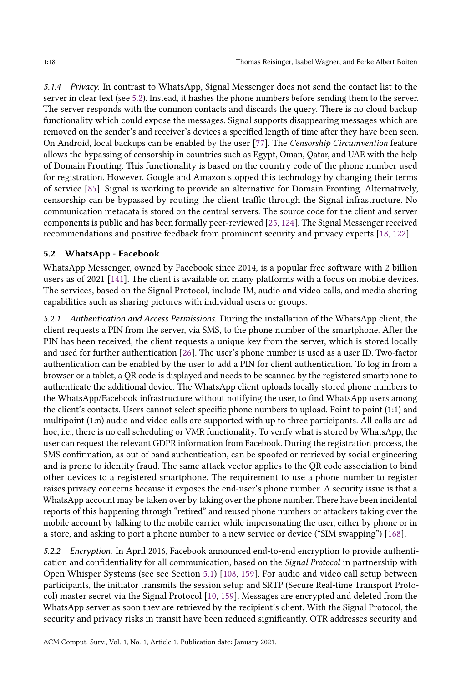5.1.4 Privacy. In contrast to WhatsApp, Signal Messenger does not send the contact list to the server in clear text (see 5.2). Instead, it hashes the phone numbers before sending them to the server. The server responds with the common contacts and discards the query. There is no cloud backup functionality which could expose the messages. Signal supports disappearing messages which are removed on the sender's and receiver's devices a specified length of time after they have been seen. On Android, local backups can be enabled by the user [77]. The Censorship Circumvention feature allows the bypassing of censorship in countries such as Egypt, Oman, Qatar, and UAE with the help of Domain Fronting. This functionality is based on the country code of the phone number used for registration. However, Google and Amazon stopped this technology by changing their terms of service [85]. Signal is working to provide an alternative for Domain Fronting. Alternatively, censorship can be bypassed by routing the client traffic through the Signal infrastructure. No communication metadata is stored on the central servers. The source code for the client and server components is public and has been formally peer-reviewed [25, 124]. The Signal Messenger received recommendations and positive feedback from prominent security and privacy experts [18, 122].

### 5.2 WhatsApp - Facebook

WhatsApp Messenger, owned by Facebook since 2014, is a popular free software with 2 billion users as of 2021 [141]. The client is available on many platforms with a focus on mobile devices. The services, based on the Signal Protocol, include IM, audio and video calls, and media sharing capabilities such as sharing pictures with individual users or groups.

5.2.1 Authentication and Access Permissions. During the installation of the WhatsApp client, the client requests a PIN from the server, via SMS, to the phone number of the smartphone. After the PIN has been received, the client requests a unique key from the server, which is stored locally and used for further authentication [26]. The user's phone number is used as a user ID. Two-factor authentication can be enabled by the user to add a PIN for client authentication. To log in from a browser or a tablet, a QR code is displayed and needs to be scanned by the registered smartphone to authenticate the additional device. The WhatsApp client uploads locally stored phone numbers to the WhatsApp/Facebook infrastructure without notifying the user, to find WhatsApp users among the client's contacts. Users cannot select specific phone numbers to upload. Point to point (1:1) and multipoint (1:n) audio and video calls are supported with up to three participants. All calls are ad hoc, i.e., there is no call scheduling or VMR functionality. To verify what is stored by WhatsApp, the user can request the relevant GDPR information from Facebook. During the registration process, the SMS confirmation, as out of band authentication, can be spoofed or retrieved by social engineering and is prone to identity fraud. The same attack vector applies to the QR code association to bind other devices to a registered smartphone. The requirement to use a phone number to register raises privacy concerns because it exposes the end-user's phone number. A security issue is that a WhatsApp account may be taken over by taking over the phone number. There have been incidental reports of this happening through "retired" and reused phone numbers or attackers taking over the mobile account by talking to the mobile carrier while impersonating the user, either by phone or in a store, and asking to port a phone number to a new service or device ("SIM swapping") [168].

5.2.2 Encryption. In April 2016, Facebook announced end-to-end encryption to provide authentication and confidentiality for all communication, based on the Signal Protocol in partnership with Open Whisper Systems (see see Section 5.1) [108, 159]. For audio and video call setup between participants, the initiator transmits the session setup and SRTP (Secure Real-time Transport Protocol) master secret via the Signal Protocol [10, 159]. Messages are encrypted and deleted from the WhatsApp server as soon they are retrieved by the recipient's client. With the Signal Protocol, the security and privacy risks in transit have been reduced significantly. OTR addresses security and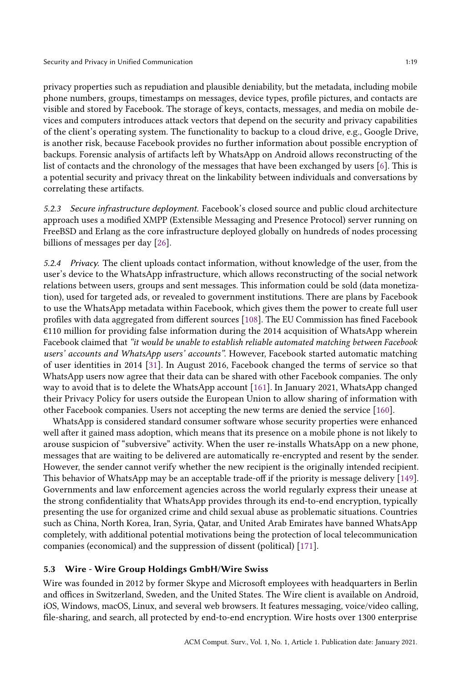privacy properties such as repudiation and plausible deniability, but the metadata, including mobile phone numbers, groups, timestamps on messages, device types, profile pictures, and contacts are visible and stored by Facebook. The storage of keys, contacts, messages, and media on mobile devices and computers introduces attack vectors that depend on the security and privacy capabilities of the client's operating system. The functionality to backup to a cloud drive, e.g., Google Drive, is another risk, because Facebook provides no further information about possible encryption of backups. Forensic analysis of artifacts left by WhatsApp on Android allows reconstructing of the list of contacts and the chronology of the messages that have been exchanged by users [6]. This is a potential security and privacy threat on the linkability between individuals and conversations by correlating these artifacts.

5.2.3 Secure infrastructure deployment. Facebook's closed source and public cloud architecture approach uses a modified XMPP (Extensible Messaging and Presence Protocol) server running on FreeBSD and Erlang as the core infrastructure deployed globally on hundreds of nodes processing billions of messages per day [26].

5.2.4 Privacy. The client uploads contact information, without knowledge of the user, from the user's device to the WhatsApp infrastructure, which allows reconstructing of the social network relations between users, groups and sent messages. This information could be sold (data monetization), used for targeted ads, or revealed to government institutions. There are plans by Facebook to use the WhatsApp metadata within Facebook, which gives them the power to create full user profiles with data aggregated from different sources [108]. The EU Commission has fined Facebook €110 million for providing false information during the 2014 acquisition of WhatsApp wherein Facebook claimed that "it would be unable to establish reliable automated matching between Facebook users' accounts and WhatsApp users' accounts". However, Facebook started automatic matching of user identities in 2014 [31]. In August 2016, Facebook changed the terms of service so that WhatsApp users now agree that their data can be shared with other Facebook companies. The only way to avoid that is to delete the WhatsApp account [161]. In January 2021, WhatsApp changed their Privacy Policy for users outside the European Union to allow sharing of information with other Facebook companies. Users not accepting the new terms are denied the service [160].

WhatsApp is considered standard consumer software whose security properties were enhanced well after it gained mass adoption, which means that its presence on a mobile phone is not likely to arouse suspicion of "subversive" activity. When the user re-installs WhatsApp on a new phone, messages that are waiting to be delivered are automatically re-encrypted and resent by the sender. However, the sender cannot verify whether the new recipient is the originally intended recipient. This behavior of WhatsApp may be an acceptable trade-off if the priority is message delivery [149]. Governments and law enforcement agencies across the world regularly express their unease at the strong confidentiality that WhatsApp provides through its end-to-end encryption, typically presenting the use for organized crime and child sexual abuse as problematic situations. Countries such as China, North Korea, Iran, Syria, Qatar, and United Arab Emirates have banned WhatsApp completely, with additional potential motivations being the protection of local telecommunication companies (economical) and the suppression of dissent (political) [171].

#### 5.3 Wire - Wire Group Holdings GmbH/Wire Swiss

Wire was founded in 2012 by former Skype and Microsoft employees with headquarters in Berlin and offices in Switzerland, Sweden, and the United States. The Wire client is available on Android, iOS, Windows, macOS, Linux, and several web browsers. It features messaging, voice/video calling, file-sharing, and search, all protected by end-to-end encryption. Wire hosts over 1300 enterprise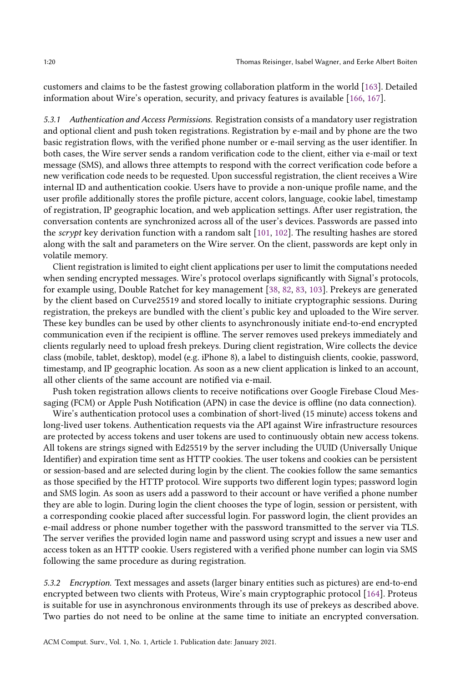customers and claims to be the fastest growing collaboration platform in the world [163]. Detailed information about Wire's operation, security, and privacy features is available [166, 167].

5.3.1 Authentication and Access Permissions. Registration consists of a mandatory user registration and optional client and push token registrations. Registration by e-mail and by phone are the two basic registration flows, with the verified phone number or e-mail serving as the user identifier. In both cases, the Wire server sends a random verification code to the client, either via e-mail or text message (SMS), and allows three attempts to respond with the correct verification code before a new verification code needs to be requested. Upon successful registration, the client receives a Wire internal ID and authentication cookie. Users have to provide a non-unique profile name, and the user profile additionally stores the profile picture, accent colors, language, cookie label, timestamp of registration, IP geographic location, and web application settings. After user registration, the conversation contents are synchronized across all of the user's devices. Passwords are passed into the scrypt key derivation function with a random salt [101, 102]. The resulting hashes are stored along with the salt and parameters on the Wire server. On the client, passwords are kept only in volatile memory.

Client registration is limited to eight client applications per user to limit the computations needed when sending encrypted messages. Wire's protocol overlaps significantly with Signal's protocols, for example using, Double Ratchet for key management [38, 82, 83, 103]. Prekeys are generated by the client based on Curve25519 and stored locally to initiate cryptographic sessions. During registration, the prekeys are bundled with the client's public key and uploaded to the Wire server. These key bundles can be used by other clients to asynchronously initiate end-to-end encrypted communication even if the recipient is offline. The server removes used prekeys immediately and clients regularly need to upload fresh prekeys. During client registration, Wire collects the device class (mobile, tablet, desktop), model (e.g. iPhone 8), a label to distinguish clients, cookie, password, timestamp, and IP geographic location. As soon as a new client application is linked to an account, all other clients of the same account are notified via e-mail.

Push token registration allows clients to receive notifications over Google Firebase Cloud Messaging (FCM) or Apple Push Notification (APN) in case the device is offline (no data connection).

Wire's authentication protocol uses a combination of short-lived (15 minute) access tokens and long-lived user tokens. Authentication requests via the API against Wire infrastructure resources are protected by access tokens and user tokens are used to continuously obtain new access tokens. All tokens are strings signed with Ed25519 by the server including the UUID (Universally Unique Identifier) and expiration time sent as HTTP cookies. The user tokens and cookies can be persistent or session-based and are selected during login by the client. The cookies follow the same semantics as those specified by the HTTP protocol. Wire supports two different login types; password login and SMS login. As soon as users add a password to their account or have verified a phone number they are able to login. During login the client chooses the type of login, session or persistent, with a corresponding cookie placed after successful login. For password login, the client provides an e-mail address or phone number together with the password transmitted to the server via TLS. The server verifies the provided login name and password using scrypt and issues a new user and access token as an HTTP cookie. Users registered with a verified phone number can login via SMS following the same procedure as during registration.

5.3.2 Encryption. Text messages and assets (larger binary entities such as pictures) are end-to-end encrypted between two clients with Proteus, Wire's main cryptographic protocol [164]. Proteus is suitable for use in asynchronous environments through its use of prekeys as described above. Two parties do not need to be online at the same time to initiate an encrypted conversation.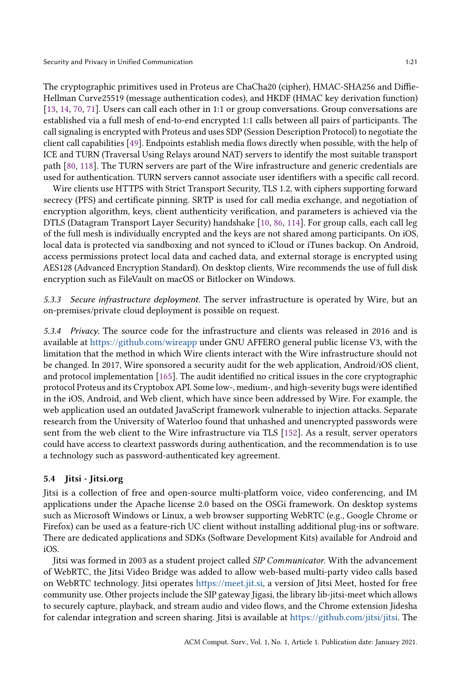The cryptographic primitives used in Proteus are ChaCha20 (cipher), HMAC-SHA256 and Diffie-Hellman Curve25519 (message authentication codes), and HKDF (HMAC key derivation function) [13, 14, 70, 71]. Users can call each other in 1:1 or group conversations. Group conversations are established via a full mesh of end-to-end encrypted 1:1 calls between all pairs of participants. The call signaling is encrypted with Proteus and uses SDP (Session Description Protocol) to negotiate the client call capabilities [49]. Endpoints establish media flows directly when possible, with the help of ICE and TURN (Traversal Using Relays around NAT) servers to identify the most suitable transport path [80, 118]. The TURN servers are part of the Wire infrastructure and generic credentials are used for authentication. TURN servers cannot associate user identifiers with a specific call record.

Wire clients use HTTPS with Strict Transport Security, TLS 1.2, with ciphers supporting forward secrecy (PFS) and certificate pinning. SRTP is used for call media exchange, and negotiation of encryption algorithm, keys, client authenticity verification, and parameters is achieved via the DTLS (Datagram Transport Layer Security) handshake [10, 86, 114]. For group calls, each call leg of the full mesh is individually encrypted and the keys are not shared among participants. On iOS, local data is protected via sandboxing and not synced to iCloud or iTunes backup. On Android, access permissions protect local data and cached data, and external storage is encrypted using AES128 (Advanced Encryption Standard). On desktop clients, Wire recommends the use of full disk encryption such as FileVault on macOS or Bitlocker on Windows.

5.3.3 Secure infrastructure deployment. The server infrastructure is operated by Wire, but an on-premises/private cloud deployment is possible on request.

5.3.4 Privacy. The source code for the infrastructure and clients was released in 2016 and is available at https://github.com/wireapp under GNU AFFERO general public license V3, with the limitation that the method in which Wire clients interact with the Wire infrastructure should not be changed. In 2017, Wire sponsored a security audit for the web application, Android/iOS client, and protocol implementation [165]. The audit identified no critical issues in the core cryptographic protocol Proteus and its Cryptobox API. Some low-, medium-, and high-severity bugs were identified in the iOS, Android, and Web client, which have since been addressed by Wire. For example, the web application used an outdated JavaScript framework vulnerable to injection attacks. Separate research from the University of Waterloo found that unhashed and unencrypted passwords were sent from the web client to the Wire infrastructure via TLS [152]. As a result, server operators could have access to cleartext passwords during authentication, and the recommendation is to use a technology such as password-authenticated key agreement.

## 5.4 Jitsi - Jitsi.org

Jitsi is a collection of free and open-source multi-platform voice, video conferencing, and IM applications under the Apache license 2.0 based on the OSGi framework. On desktop systems such as Microsoft Windows or Linux, a web browser supporting WebRTC (e.g., Google Chrome or Firefox) can be used as a feature-rich UC client without installing additional plug-ins or software. There are dedicated applications and SDKs (Software Development Kits) available for Android and iOS.

Jitsi was formed in 2003 as a student project called SIP Communicator. With the advancement of WebRTC, the Jitsi Video Bridge was added to allow web-based multi-party video calls based on WebRTC technology. Jitsi operates https://meet.jit.si, a version of Jitsi Meet, hosted for free community use. Other projects include the SIP gateway Jigasi, the library lib-jitsi-meet which allows to securely capture, playback, and stream audio and video flows, and the Chrome extension Jidesha for calendar integration and screen sharing. Jitsi is available at https://github.com/jitsi/jitsi. The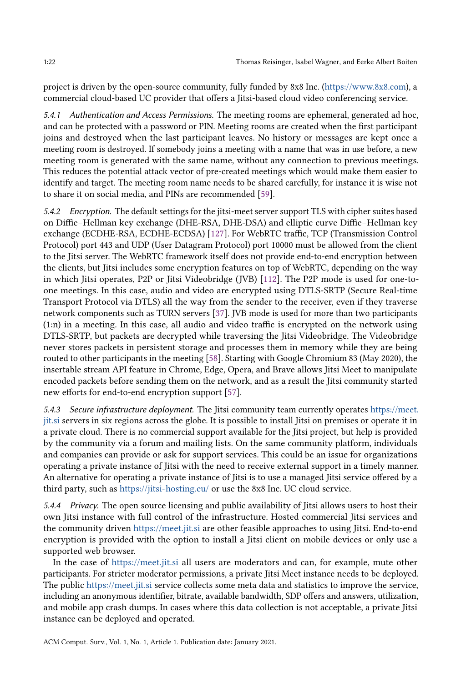project is driven by the open-source community, fully funded by 8x8 Inc. (https://www.8x8.com), a commercial cloud-based UC provider that offers a Jitsi-based cloud video conferencing service.

5.4.1 Authentication and Access Permissions. The meeting rooms are ephemeral, generated ad hoc, and can be protected with a password or PIN. Meeting rooms are created when the first participant joins and destroyed when the last participant leaves. No history or messages are kept once a meeting room is destroyed. If somebody joins a meeting with a name that was in use before, a new meeting room is generated with the same name, without any connection to previous meetings. This reduces the potential attack vector of pre-created meetings which would make them easier to identify and target. The meeting room name needs to be shared carefully, for instance it is wise not to share it on social media, and PINs are recommended [59].

5.4.2 Encryption. The default settings for the jitsi-meet server support TLS with cipher suites based on Diffie–Hellman key exchange (DHE-RSA, DHE-DSA) and elliptic curve Diffie–Hellman key exchange (ECDHE-RSA, ECDHE-ECDSA) [127]. For WebRTC traffic, TCP (Transmission Control Protocol) port 443 and UDP (User Datagram Protocol) port 10000 must be allowed from the client to the Jitsi server. The WebRTC framework itself does not provide end-to-end encryption between the clients, but Jitsi includes some encryption features on top of WebRTC, depending on the way in which Jitsi operates, P2P or Jitsi Videobridge (JVB) [112]. The P2P mode is used for one-toone meetings. In this case, audio and video are encrypted using DTLS-SRTP (Secure Real-time Transport Protocol via DTLS) all the way from the sender to the receiver, even if they traverse network components such as TURN servers [37]. JVB mode is used for more than two participants (1:n) in a meeting. In this case, all audio and video traffic is encrypted on the network using DTLS-SRTP, but packets are decrypted while traversing the Jitsi Videobridge. The Videobridge never stores packets in persistent storage and processes them in memory while they are being routed to other participants in the meeting [58]. Starting with Google Chromium 83 (May 2020), the insertable stream API feature in Chrome, Edge, Opera, and Brave allows Jitsi Meet to manipulate encoded packets before sending them on the network, and as a result the Jitsi community started new efforts for end-to-end encryption support [57].

5.4.3 Secure infrastructure deployment. The Jitsi community team currently operates https://meet. jit.si servers in six regions across the globe. It is possible to install Jitsi on premises or operate it in a private cloud. There is no commercial support available for the Jitsi project, but help is provided by the community via a forum and mailing lists. On the same community platform, individuals and companies can provide or ask for support services. This could be an issue for organizations operating a private instance of Jitsi with the need to receive external support in a timely manner. An alternative for operating a private instance of Jitsi is to use a managed Jitsi service offered by a third party, such as https://jitsi-hosting.eu/ or use the 8x8 Inc. UC cloud service.

5.4.4 Privacy. The open source licensing and public availability of Jitsi allows users to host their own Jitsi instance with full control of the infrastructure. Hosted commercial Jitsi services and the community driven https://meet.jit.si are other feasible approaches to using Jitsi. End-to-end encryption is provided with the option to install a Jitsi client on mobile devices or only use a supported web browser.

In the case of https://meet.jit.si all users are moderators and can, for example, mute other participants. For stricter moderator permissions, a private Jitsi Meet instance needs to be deployed. The public https://meet.jit.si service collects some meta data and statistics to improve the service, including an anonymous identifier, bitrate, available bandwidth, SDP offers and answers, utilization, and mobile app crash dumps. In cases where this data collection is not acceptable, a private Jitsi instance can be deployed and operated.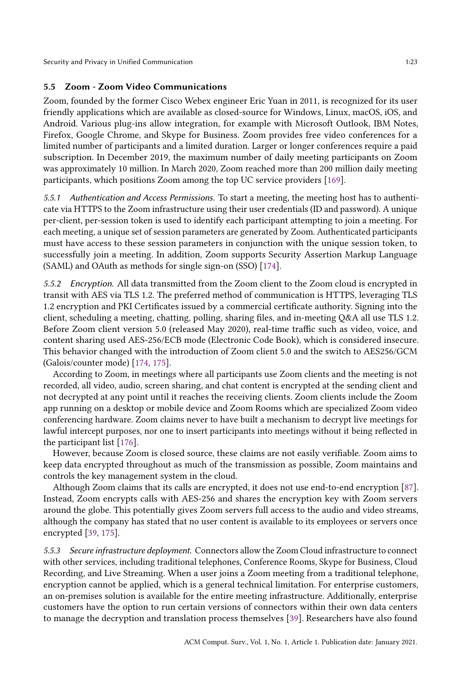Security and Privacy in Unified Communication 1:23

## 5.5 Zoom - Zoom Video Communications

Zoom, founded by the former Cisco Webex engineer Eric Yuan in 2011, is recognized for its user friendly applications which are available as closed-source for Windows, Linux, macOS, iOS, and Android. Various plug-ins allow integration, for example with Microsoft Outlook, IBM Notes, Firefox, Google Chrome, and Skype for Business. Zoom provides free video conferences for a limited number of participants and a limited duration. Larger or longer conferences require a paid subscription. In December 2019, the maximum number of daily meeting participants on Zoom was approximately 10 million. In March 2020, Zoom reached more than 200 million daily meeting participants, which positions Zoom among the top UC service providers [169].

5.5.1 Authentication and Access Permissions. To start a meeting, the meeting host has to authenticate via HTTPS to the Zoom infrastructure using their user credentials (ID and password). A unique per-client, per-session token is used to identify each participant attempting to join a meeting. For each meeting, a unique set of session parameters are generated by Zoom. Authenticated participants must have access to these session parameters in conjunction with the unique session token, to successfully join a meeting. In addition, Zoom supports Security Assertion Markup Language (SAML) and OAuth as methods for single sign-on (SSO) [174].

5.5.2 Encryption. All data transmitted from the Zoom client to the Zoom cloud is encrypted in transit with AES via TLS 1.2. The preferred method of communication is HTTPS, leveraging TLS 1.2 encryption and PKI Certificates issued by a commercial certificate authority. Signing into the client, scheduling a meeting, chatting, polling, sharing files, and in-meeting Q&A all use TLS 1.2. Before Zoom client version 5.0 (released May 2020), real-time traffic such as video, voice, and content sharing used AES-256/ECB mode (Electronic Code Book), which is considered insecure. This behavior changed with the introduction of Zoom client 5.0 and the switch to AES256/GCM (Galois/counter mode) [174, 175].

According to Zoom, in meetings where all participants use Zoom clients and the meeting is not recorded, all video, audio, screen sharing, and chat content is encrypted at the sending client and not decrypted at any point until it reaches the receiving clients. Zoom clients include the Zoom app running on a desktop or mobile device and Zoom Rooms which are specialized Zoom video conferencing hardware. Zoom claims never to have built a mechanism to decrypt live meetings for lawful intercept purposes, nor one to insert participants into meetings without it being reflected in the participant list [176].

However, because Zoom is closed source, these claims are not easily verifiable. Zoom aims to keep data encrypted throughout as much of the transmission as possible, Zoom maintains and controls the key management system in the cloud.

Although Zoom claims that its calls are encrypted, it does not use end-to-end encryption [87]. Instead, Zoom encrypts calls with AES-256 and shares the encryption key with Zoom servers around the globe. This potentially gives Zoom servers full access to the audio and video streams, although the company has stated that no user content is available to its employees or servers once encrypted [39, 175].

5.5.3 Secure infrastructure deployment. Connectors allow the Zoom Cloud infrastructure to connect with other services, including traditional telephones, Conference Rooms, Skype for Business, Cloud Recording, and Live Streaming. When a user joins a Zoom meeting from a traditional telephone, encryption cannot be applied, which is a general technical limitation. For enterprise customers, an on-premises solution is available for the entire meeting infrastructure. Additionally, enterprise customers have the option to run certain versions of connectors within their own data centers to manage the decryption and translation process themselves [39]. Researchers have also found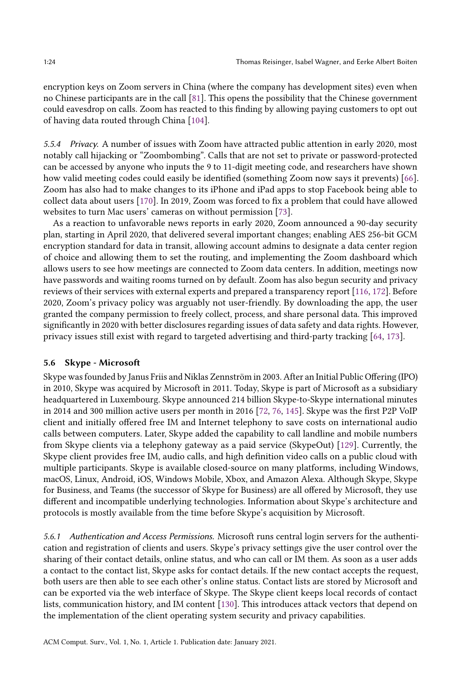encryption keys on Zoom servers in China (where the company has development sites) even when no Chinese participants are in the call [81]. This opens the possibility that the Chinese government could eavesdrop on calls. Zoom has reacted to this finding by allowing paying customers to opt out of having data routed through China [104].

5.5.4 Privacy. A number of issues with Zoom have attracted public attention in early 2020, most notably call hijacking or "Zoombombing". Calls that are not set to private or password-protected can be accessed by anyone who inputs the 9 to 11-digit meeting code, and researchers have shown how valid meeting codes could easily be identified (something Zoom now says it prevents) [66]. Zoom has also had to make changes to its iPhone and iPad apps to stop Facebook being able to collect data about users [170]. In 2019, Zoom was forced to fix a problem that could have allowed websites to turn Mac users' cameras on without permission [73].

As a reaction to unfavorable news reports in early 2020, Zoom announced a 90-day security plan, starting in April 2020, that delivered several important changes; enabling AES 256-bit GCM encryption standard for data in transit, allowing account admins to designate a data center region of choice and allowing them to set the routing, and implementing the Zoom dashboard which allows users to see how meetings are connected to Zoom data centers. In addition, meetings now have passwords and waiting rooms turned on by default. Zoom has also begun security and privacy reviews of their services with external experts and prepared a transparency report [116, 172]. Before 2020, Zoom's privacy policy was arguably not user-friendly. By downloading the app, the user granted the company permission to freely collect, process, and share personal data. This improved significantly in 2020 with better disclosures regarding issues of data safety and data rights. However, privacy issues still exist with regard to targeted advertising and third-party tracking [64, 173].

### 5.6 Skype - Microsoft

Skype was founded by Janus Friis and Niklas Zennström in 2003. After an Initial Public Offering (IPO) in 2010, Skype was acquired by Microsoft in 2011. Today, Skype is part of Microsoft as a subsidiary headquartered in Luxembourg. Skype announced 214 billion Skype-to-Skype international minutes in 2014 and 300 million active users per month in 2016 [72, 76, 145]. Skype was the first P2P VoIP client and initially offered free IM and Internet telephony to save costs on international audio calls between computers. Later, Skype added the capability to call landline and mobile numbers from Skype clients via a telephony gateway as a paid service (SkypeOut) [129]. Currently, the Skype client provides free IM, audio calls, and high definition video calls on a public cloud with multiple participants. Skype is available closed-source on many platforms, including Windows, macOS, Linux, Android, iOS, Windows Mobile, Xbox, and Amazon Alexa. Although Skype, Skype for Business, and Teams (the successor of Skype for Business) are all offered by Microsoft, they use different and incompatible underlying technologies. Information about Skype's architecture and protocols is mostly available from the time before Skype's acquisition by Microsoft.

5.6.1 Authentication and Access Permissions. Microsoft runs central login servers for the authentication and registration of clients and users. Skype's privacy settings give the user control over the sharing of their contact details, online status, and who can call or IM them. As soon as a user adds a contact to the contact list, Skype asks for contact details. If the new contact accepts the request, both users are then able to see each other's online status. Contact lists are stored by Microsoft and can be exported via the web interface of Skype. The Skype client keeps local records of contact lists, communication history, and IM content [130]. This introduces attack vectors that depend on the implementation of the client operating system security and privacy capabilities.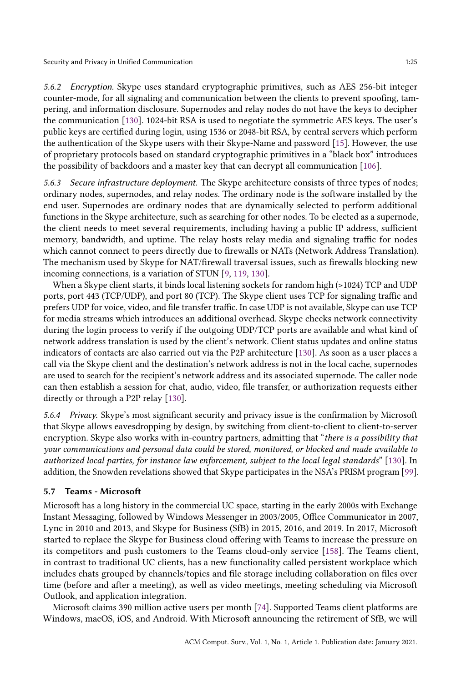Security and Privacy in Unified Communication 1:25

5.6.2 Encryption. Skype uses standard cryptographic primitives, such as AES 256-bit integer counter-mode, for all signaling and communication between the clients to prevent spoofing, tampering, and information disclosure. Supernodes and relay nodes do not have the keys to decipher the communication [130]. 1024-bit RSA is used to negotiate the symmetric AES keys. The user's public keys are certified during login, using 1536 or 2048-bit RSA, by central servers which perform the authentication of the Skype users with their Skype-Name and password [15]. However, the use of proprietary protocols based on standard cryptographic primitives in a "black box" introduces the possibility of backdoors and a master key that can decrypt all communication [106].

5.6.3 Secure infrastructure deployment. The Skype architecture consists of three types of nodes; ordinary nodes, supernodes, and relay nodes. The ordinary node is the software installed by the end user. Supernodes are ordinary nodes that are dynamically selected to perform additional functions in the Skype architecture, such as searching for other nodes. To be elected as a supernode, the client needs to meet several requirements, including having a public IP address, sufficient memory, bandwidth, and uptime. The relay hosts relay media and signaling traffic for nodes which cannot connect to peers directly due to firewalls or NATs (Network Address Translation). The mechanism used by Skype for NAT/firewall traversal issues, such as firewalls blocking new incoming connections, is a variation of STUN [9, 119, 130].

When a Skype client starts, it binds local listening sockets for random high (>1024) TCP and UDP ports, port 443 (TCP/UDP), and port 80 (TCP). The Skype client uses TCP for signaling traffic and prefers UDP for voice, video, and file transfer traffic. In case UDP is not available, Skype can use TCP for media streams which introduces an additional overhead. Skype checks network connectivity during the login process to verify if the outgoing UDP/TCP ports are available and what kind of network address translation is used by the client's network. Client status updates and online status indicators of contacts are also carried out via the P2P architecture [130]. As soon as a user places a call via the Skype client and the destination's network address is not in the local cache, supernodes are used to search for the recipient's network address and its associated supernode. The caller node can then establish a session for chat, audio, video, file transfer, or authorization requests either directly or through a P2P relay [130].

5.6.4 Privacy. Skype's most significant security and privacy issue is the confirmation by Microsoft that Skype allows eavesdropping by design, by switching from client-to-client to client-to-server encryption. Skype also works with in-country partners, admitting that "there is a possibility that your communications and personal data could be stored, monitored, or blocked and made available to authorized local parties, for instance law enforcement, subject to the local legal standards" [130]. In addition, the Snowden revelations showed that Skype participates in the NSA's PRISM program [99].

## 5.7 Teams - Microsoft

Microsoft has a long history in the commercial UC space, starting in the early 2000s with Exchange Instant Messaging, followed by Windows Messenger in 2003/2005, Office Communicator in 2007, Lync in 2010 and 2013, and Skype for Business (SfB) in 2015, 2016, and 2019. In 2017, Microsoft started to replace the Skype for Business cloud offering with Teams to increase the pressure on its competitors and push customers to the Teams cloud-only service [158]. The Teams client, in contrast to traditional UC clients, has a new functionality called persistent workplace which includes chats grouped by channels/topics and file storage including collaboration on files over time (before and after a meeting), as well as video meetings, meeting scheduling via Microsoft Outlook, and application integration.

Microsoft claims 390 million active users per month [74]. Supported Teams client platforms are Windows, macOS, iOS, and Android. With Microsoft announcing the retirement of SfB, we will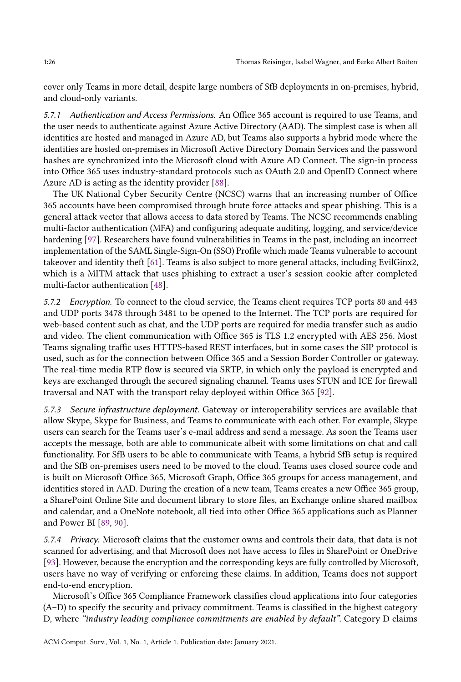cover only Teams in more detail, despite large numbers of SfB deployments in on-premises, hybrid, and cloud-only variants.

5.7.1 Authentication and Access Permissions. An Office 365 account is required to use Teams, and the user needs to authenticate against Azure Active Directory (AAD). The simplest case is when all identities are hosted and managed in Azure AD, but Teams also supports a hybrid mode where the identities are hosted on-premises in Microsoft Active Directory Domain Services and the password hashes are synchronized into the Microsoft cloud with Azure AD Connect. The sign-in process into Office 365 uses industry-standard protocols such as OAuth 2.0 and OpenID Connect where Azure AD is acting as the identity provider [88].

The UK National Cyber Security Centre (NCSC) warns that an increasing number of Office 365 accounts have been compromised through brute force attacks and spear phishing. This is a general attack vector that allows access to data stored by Teams. The NCSC recommends enabling multi-factor authentication (MFA) and configuring adequate auditing, logging, and service/device hardening [97]. Researchers have found vulnerabilities in Teams in the past, including an incorrect implementation of the SAML Single-Sign-On (SSO) Profile which made Teams vulnerable to account takeover and identity theft [61]. Teams is also subject to more general attacks, including EvilGinx2, which is a MITM attack that uses phishing to extract a user's session cookie after completed multi-factor authentication [48].

5.7.2 Encryption. To connect to the cloud service, the Teams client requires TCP ports 80 and 443 and UDP ports 3478 through 3481 to be opened to the Internet. The TCP ports are required for web-based content such as chat, and the UDP ports are required for media transfer such as audio and video. The client communication with Office 365 is TLS 1.2 encrypted with AES 256. Most Teams signaling traffic uses HTTPS-based REST interfaces, but in some cases the SIP protocol is used, such as for the connection between Office 365 and a Session Border Controller or gateway. The real-time media RTP flow is secured via SRTP, in which only the payload is encrypted and keys are exchanged through the secured signaling channel. Teams uses STUN and ICE for firewall traversal and NAT with the transport relay deployed within Office 365 [92].

5.7.3 Secure infrastructure deployment. Gateway or interoperability services are available that allow Skype, Skype for Business, and Teams to communicate with each other. For example, Skype users can search for the Teams user's e-mail address and send a message. As soon the Teams user accepts the message, both are able to communicate albeit with some limitations on chat and call functionality. For SfB users to be able to communicate with Teams, a hybrid SfB setup is required and the SfB on-premises users need to be moved to the cloud. Teams uses closed source code and is built on Microsoft Office 365, Microsoft Graph, Office 365 groups for access management, and identities stored in AAD. During the creation of a new team, Teams creates a new Office 365 group, a SharePoint Online Site and document library to store files, an Exchange online shared mailbox and calendar, and a OneNote notebook, all tied into other Office 365 applications such as Planner and Power BI [89, 90].

5.7.4 Privacy. Microsoft claims that the customer owns and controls their data, that data is not scanned for advertising, and that Microsoft does not have access to files in SharePoint or OneDrive [93]. However, because the encryption and the corresponding keys are fully controlled by Microsoft, users have no way of verifying or enforcing these claims. In addition, Teams does not support end-to-end encryption.

Microsoft's Office 365 Compliance Framework classifies cloud applications into four categories (A–D) to specify the security and privacy commitment. Teams is classified in the highest category D, where "industry leading compliance commitments are enabled by default". Category D claims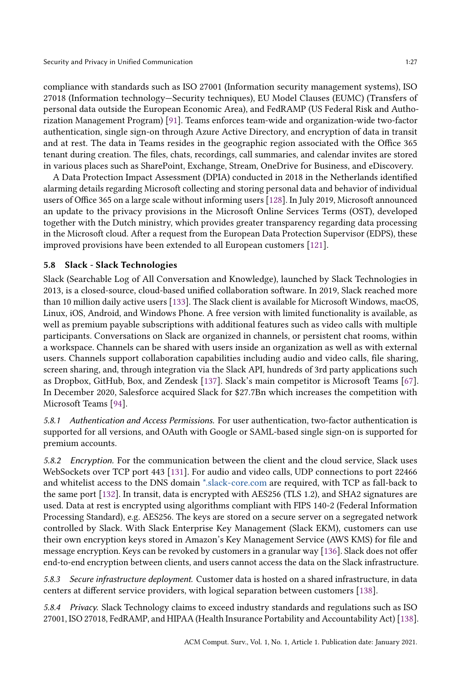compliance with standards such as ISO 27001 (Information security management systems), ISO 27018 (Information technology—Security techniques), EU Model Clauses (EUMC) (Transfers of personal data outside the European Economic Area), and FedRAMP (US Federal Risk and Authorization Management Program) [91]. Teams enforces team-wide and organization-wide two-factor authentication, single sign-on through Azure Active Directory, and encryption of data in transit and at rest. The data in Teams resides in the geographic region associated with the Office 365 tenant during creation. The files, chats, recordings, call summaries, and calendar invites are stored in various places such as SharePoint, Exchange, Stream, OneDrive for Business, and eDiscovery.

A Data Protection Impact Assessment (DPIA) conducted in 2018 in the Netherlands identified alarming details regarding Microsoft collecting and storing personal data and behavior of individual users of Office 365 on a large scale without informing users [128]. In July 2019, Microsoft announced an update to the privacy provisions in the Microsoft Online Services Terms (OST), developed together with the Dutch ministry, which provides greater transparency regarding data processing in the Microsoft cloud. After a request from the European Data Protection Supervisor (EDPS), these improved provisions have been extended to all European customers [121].

## 5.8 Slack - Slack Technologies

Slack (Searchable Log of All Conversation and Knowledge), launched by Slack Technologies in 2013, is a closed-source, cloud-based unified collaboration software. In 2019, Slack reached more than 10 million daily active users [133]. The Slack client is available for Microsoft Windows, macOS, Linux, iOS, Android, and Windows Phone. A free version with limited functionality is available, as well as premium payable subscriptions with additional features such as video calls with multiple participants. Conversations on Slack are organized in channels, or persistent chat rooms, within a workspace. Channels can be shared with users inside an organization as well as with external users. Channels support collaboration capabilities including audio and video calls, file sharing, screen sharing, and, through integration via the Slack API, hundreds of 3rd party applications such as Dropbox, GitHub, Box, and Zendesk [137]. Slack's main competitor is Microsoft Teams [67]. In December 2020, Salesforce acquired Slack for \$27.7Bn which increases the competition with Microsoft Teams [94].

5.8.1 Authentication and Access Permissions. For user authentication, two-factor authentication is supported for all versions, and OAuth with Google or SAML-based single sign-on is supported for premium accounts.

5.8.2 Encryption. For the communication between the client and the cloud service, Slack uses WebSockets over TCP port 443 [131]. For audio and video calls, UDP connections to port 22466 and whitelist access to the DNS domain \*.slack-core.com are required, with TCP as fall-back to the same port [132]. In transit, data is encrypted with AES256 (TLS 1.2), and SHA2 signatures are used. Data at rest is encrypted using algorithms compliant with FIPS 140-2 (Federal Information Processing Standard), e.g. AES256. The keys are stored on a secure server on a segregated network controlled by Slack. With Slack Enterprise Key Management (Slack EKM), customers can use their own encryption keys stored in Amazon's Key Management Service (AWS KMS) for file and message encryption. Keys can be revoked by customers in a granular way [136]. Slack does not offer end-to-end encryption between clients, and users cannot access the data on the Slack infrastructure.

5.8.3 Secure infrastructure deployment. Customer data is hosted on a shared infrastructure, in data centers at different service providers, with logical separation between customers [138].

5.8.4 Privacy. Slack Technology claims to exceed industry standards and regulations such as ISO 27001, ISO 27018, FedRAMP, and HIPAA (Health Insurance Portability and Accountability Act) [138].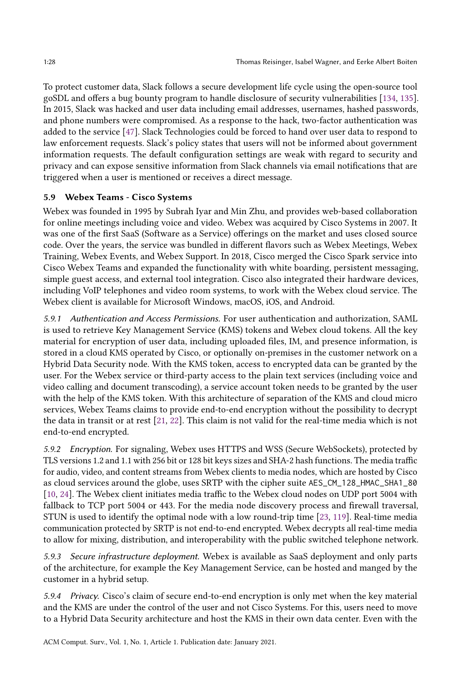To protect customer data, Slack follows a secure development life cycle using the open-source tool goSDL and offers a bug bounty program to handle disclosure of security vulnerabilities [134, 135]. In 2015, Slack was hacked and user data including email addresses, usernames, hashed passwords, and phone numbers were compromised. As a response to the hack, two-factor authentication was added to the service [47]. Slack Technologies could be forced to hand over user data to respond to law enforcement requests. Slack's policy states that users will not be informed about government information requests. The default configuration settings are weak with regard to security and privacy and can expose sensitive information from Slack channels via email notifications that are triggered when a user is mentioned or receives a direct message.

## 5.9 Webex Teams - Cisco Systems

Webex was founded in 1995 by Subrah Iyar and Min Zhu, and provides web-based collaboration for online meetings including voice and video. Webex was acquired by Cisco Systems in 2007. It was one of the first SaaS (Software as a Service) offerings on the market and uses closed source code. Over the years, the service was bundled in different flavors such as Webex Meetings, Webex Training, Webex Events, and Webex Support. In 2018, Cisco merged the Cisco Spark service into Cisco Webex Teams and expanded the functionality with white boarding, persistent messaging, simple guest access, and external tool integration. Cisco also integrated their hardware devices, including VoIP telephones and video room systems, to work with the Webex cloud service. The Webex client is available for Microsoft Windows, macOS, iOS, and Android.

5.9.1 Authentication and Access Permissions. For user authentication and authorization, SAML is used to retrieve Key Management Service (KMS) tokens and Webex cloud tokens. All the key material for encryption of user data, including uploaded files, IM, and presence information, is stored in a cloud KMS operated by Cisco, or optionally on-premises in the customer network on a Hybrid Data Security node. With the KMS token, access to encrypted data can be granted by the user. For the Webex service or third-party access to the plain text services (including voice and video calling and document transcoding), a service account token needs to be granted by the user with the help of the KMS token. With this architecture of separation of the KMS and cloud micro services, Webex Teams claims to provide end-to-end encryption without the possibility to decrypt the data in transit or at rest [21, 22]. This claim is not valid for the real-time media which is not end-to-end encrypted.

5.9.2 Encryption. For signaling, Webex uses HTTPS and WSS (Secure WebSockets), protected by TLS versions 1.2 and 1.1 with 256 bit or 128 bit keys sizes and SHA-2 hash functions. The media traffic for audio, video, and content streams from Webex clients to media nodes, which are hosted by Cisco as cloud services around the globe, uses SRTP with the cipher suite AES\_CM\_128\_HMAC\_SHA1\_80 [10, 24]. The Webex client initiates media traffic to the Webex cloud nodes on UDP port 5004 with fallback to TCP port 5004 or 443. For the media node discovery process and firewall traversal, STUN is used to identify the optimal node with a low round-trip time [23, 119]. Real-time media communication protected by SRTP is not end-to-end encrypted. Webex decrypts all real-time media to allow for mixing, distribution, and interoperability with the public switched telephone network.

5.9.3 Secure infrastructure deployment. Webex is available as SaaS deployment and only parts of the architecture, for example the Key Management Service, can be hosted and manged by the customer in a hybrid setup.

5.9.4 Privacy. Cisco's claim of secure end-to-end encryption is only met when the key material and the KMS are under the control of the user and not Cisco Systems. For this, users need to move to a Hybrid Data Security architecture and host the KMS in their own data center. Even with the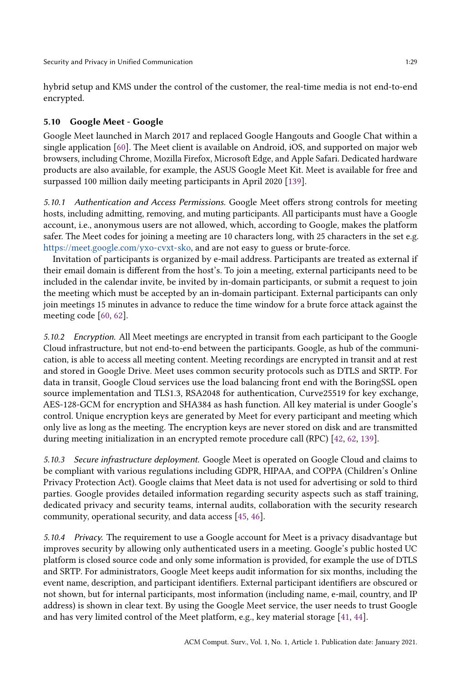hybrid setup and KMS under the control of the customer, the real-time media is not end-to-end encrypted.

## 5.10 Google Meet - Google

Google Meet launched in March 2017 and replaced Google Hangouts and Google Chat within a single application [60]. The Meet client is available on Android, iOS, and supported on major web browsers, including Chrome, Mozilla Firefox, Microsoft Edge, and Apple Safari. Dedicated hardware products are also available, for example, the ASUS Google Meet Kit. Meet is available for free and surpassed 100 million daily meeting participants in April 2020 [139].

5.10.1 Authentication and Access Permissions. Google Meet offers strong controls for meeting hosts, including admitting, removing, and muting participants. All participants must have a Google account, i.e., anonymous users are not allowed, which, according to Google, makes the platform safer. The Meet codes for joining a meeting are 10 characters long, with 25 characters in the set e.g. https://meet.google.com/yxo-cvxt-sko, and are not easy to guess or brute-force.

Invitation of participants is organized by e-mail address. Participants are treated as external if their email domain is different from the host's. To join a meeting, external participants need to be included in the calendar invite, be invited by in-domain participants, or submit a request to join the meeting which must be accepted by an in-domain participant. External participants can only join meetings 15 minutes in advance to reduce the time window for a brute force attack against the meeting code [60, 62].

5.10.2 Encryption. All Meet meetings are encrypted in transit from each participant to the Google Cloud infrastructure, but not end-to-end between the participants. Google, as hub of the communication, is able to access all meeting content. Meeting recordings are encrypted in transit and at rest and stored in Google Drive. Meet uses common security protocols such as DTLS and SRTP. For data in transit, Google Cloud services use the load balancing front end with the BoringSSL open source implementation and TLS1.3, RSA2048 for authentication, Curve25519 for key exchange, AES-128-GCM for encryption and SHA384 as hash function. All key material is under Google's control. Unique encryption keys are generated by Meet for every participant and meeting which only live as long as the meeting. The encryption keys are never stored on disk and are transmitted during meeting initialization in an encrypted remote procedure call (RPC) [42, 62, 139].

5.10.3 Secure infrastructure deployment. Google Meet is operated on Google Cloud and claims to be compliant with various regulations including GDPR, HIPAA, and COPPA (Children's Online Privacy Protection Act). Google claims that Meet data is not used for advertising or sold to third parties. Google provides detailed information regarding security aspects such as staff training, dedicated privacy and security teams, internal audits, collaboration with the security research community, operational security, and data access [45, 46].

5.10.4 Privacy. The requirement to use a Google account for Meet is a privacy disadvantage but improves security by allowing only authenticated users in a meeting. Google's public hosted UC platform is closed source code and only some information is provided, for example the use of DTLS and SRTP. For administrators, Google Meet keeps audit information for six months, including the event name, description, and participant identifiers. External participant identifiers are obscured or not shown, but for internal participants, most information (including name, e-mail, country, and IP address) is shown in clear text. By using the Google Meet service, the user needs to trust Google and has very limited control of the Meet platform, e.g., key material storage [41, 44].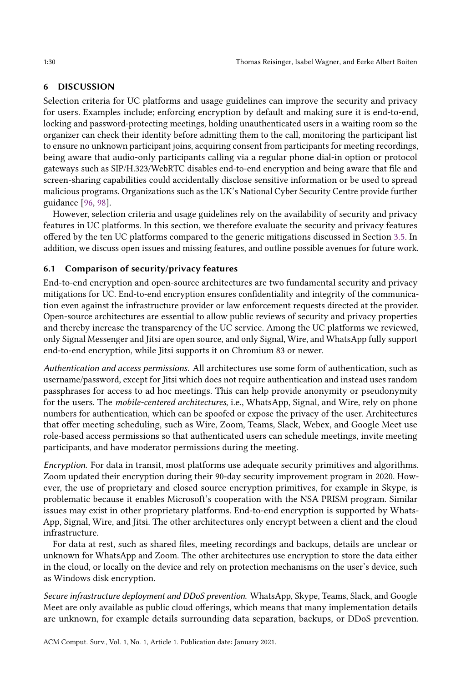#### 6 DISCUSSION

Selection criteria for UC platforms and usage guidelines can improve the security and privacy for users. Examples include; enforcing encryption by default and making sure it is end-to-end, locking and password-protecting meetings, holding unauthenticated users in a waiting room so the organizer can check their identity before admitting them to the call, monitoring the participant list to ensure no unknown participant joins, acquiring consent from participants for meeting recordings, being aware that audio-only participants calling via a regular phone dial-in option or protocol gateways such as SIP/H.323/WebRTC disables end-to-end encryption and being aware that file and screen-sharing capabilities could accidentally disclose sensitive information or be used to spread malicious programs. Organizations such as the UK's National Cyber Security Centre provide further guidance [96, 98].

However, selection criteria and usage guidelines rely on the availability of security and privacy features in UC platforms. In this section, we therefore evaluate the security and privacy features offered by the ten UC platforms compared to the generic mitigations discussed in Section 3.5. In addition, we discuss open issues and missing features, and outline possible avenues for future work.

## 6.1 Comparison of security/privacy features

End-to-end encryption and open-source architectures are two fundamental security and privacy mitigations for UC. End-to-end encryption ensures confidentiality and integrity of the communication even against the infrastructure provider or law enforcement requests directed at the provider. Open-source architectures are essential to allow public reviews of security and privacy properties and thereby increase the transparency of the UC service. Among the UC platforms we reviewed, only Signal Messenger and Jitsi are open source, and only Signal, Wire, and WhatsApp fully support end-to-end encryption, while Jitsi supports it on Chromium 83 or newer.

Authentication and access permissions. All architectures use some form of authentication, such as username/password, except for Jitsi which does not require authentication and instead uses random passphrases for access to ad hoc meetings. This can help provide anonymity or pseudonymity for the users. The mobile-centered architectures, i.e., WhatsApp, Signal, and Wire, rely on phone numbers for authentication, which can be spoofed or expose the privacy of the user. Architectures that offer meeting scheduling, such as Wire, Zoom, Teams, Slack, Webex, and Google Meet use role-based access permissions so that authenticated users can schedule meetings, invite meeting participants, and have moderator permissions during the meeting.

Encryption. For data in transit, most platforms use adequate security primitives and algorithms. Zoom updated their encryption during their 90-day security improvement program in 2020. However, the use of proprietary and closed source encryption primitives, for example in Skype, is problematic because it enables Microsoft's cooperation with the NSA PRISM program. Similar issues may exist in other proprietary platforms. End-to-end encryption is supported by Whats-App, Signal, Wire, and Jitsi. The other architectures only encrypt between a client and the cloud infrastructure.

For data at rest, such as shared files, meeting recordings and backups, details are unclear or unknown for WhatsApp and Zoom. The other architectures use encryption to store the data either in the cloud, or locally on the device and rely on protection mechanisms on the user's device, such as Windows disk encryption.

Secure infrastructure deployment and DDoS prevention. WhatsApp, Skype, Teams, Slack, and Google Meet are only available as public cloud offerings, which means that many implementation details are unknown, for example details surrounding data separation, backups, or DDoS prevention.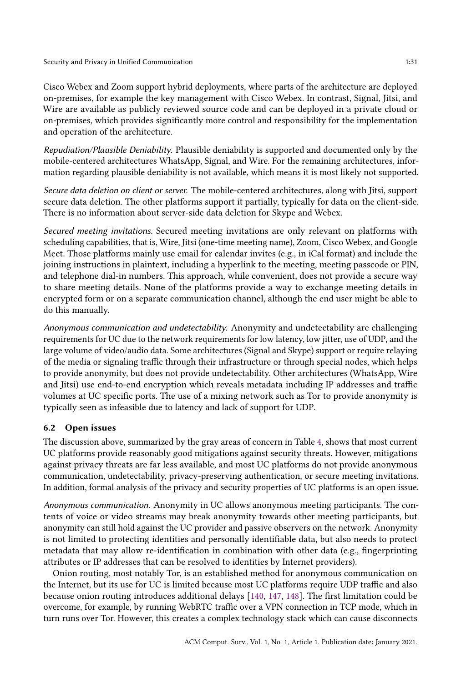Cisco Webex and Zoom support hybrid deployments, where parts of the architecture are deployed on-premises, for example the key management with Cisco Webex. In contrast, Signal, Jitsi, and Wire are available as publicly reviewed source code and can be deployed in a private cloud or on-premises, which provides significantly more control and responsibility for the implementation and operation of the architecture.

Repudiation/Plausible Deniability. Plausible deniability is supported and documented only by the mobile-centered architectures WhatsApp, Signal, and Wire. For the remaining architectures, information regarding plausible deniability is not available, which means it is most likely not supported.

Secure data deletion on client or server. The mobile-centered architectures, along with Jitsi, support secure data deletion. The other platforms support it partially, typically for data on the client-side. There is no information about server-side data deletion for Skype and Webex.

Secured meeting invitations. Secured meeting invitations are only relevant on platforms with scheduling capabilities, that is, Wire, Jitsi (one-time meeting name), Zoom, Cisco Webex, and Google Meet. Those platforms mainly use email for calendar invites (e.g., in iCal format) and include the joining instructions in plaintext, including a hyperlink to the meeting, meeting passcode or PIN, and telephone dial-in numbers. This approach, while convenient, does not provide a secure way to share meeting details. None of the platforms provide a way to exchange meeting details in encrypted form or on a separate communication channel, although the end user might be able to do this manually.

Anonymous communication and undetectability. Anonymity and undetectability are challenging requirements for UC due to the network requirements for low latency, low jitter, use of UDP, and the large volume of video/audio data. Some architectures (Signal and Skype) support or require relaying of the media or signaling traffic through their infrastructure or through special nodes, which helps to provide anonymity, but does not provide undetectability. Other architectures (WhatsApp, Wire and Jitsi) use end-to-end encryption which reveals metadata including IP addresses and traffic volumes at UC specific ports. The use of a mixing network such as Tor to provide anonymity is typically seen as infeasible due to latency and lack of support for UDP.

## 6.2 Open issues

The discussion above, summarized by the gray areas of concern in Table 4, shows that most current UC platforms provide reasonably good mitigations against security threats. However, mitigations against privacy threats are far less available, and most UC platforms do not provide anonymous communication, undetectability, privacy-preserving authentication, or secure meeting invitations. In addition, formal analysis of the privacy and security properties of UC platforms is an open issue.

Anonymous communication. Anonymity in UC allows anonymous meeting participants. The contents of voice or video streams may break anonymity towards other meeting participants, but anonymity can still hold against the UC provider and passive observers on the network. Anonymity is not limited to protecting identities and personally identifiable data, but also needs to protect metadata that may allow re-identification in combination with other data (e.g., fingerprinting attributes or IP addresses that can be resolved to identities by Internet providers).

Onion routing, most notably Tor, is an established method for anonymous communication on the Internet, but its use for UC is limited because most UC platforms require UDP traffic and also because onion routing introduces additional delays [140, 147, 148]. The first limitation could be overcome, for example, by running WebRTC traffic over a VPN connection in TCP mode, which in turn runs over Tor. However, this creates a complex technology stack which can cause disconnects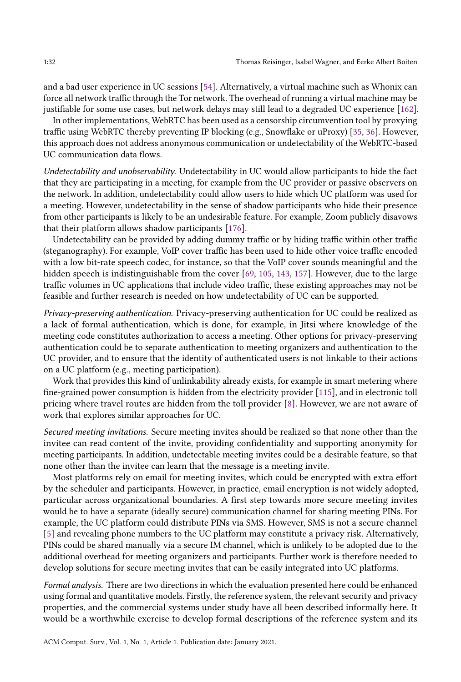and a bad user experience in UC sessions [54]. Alternatively, a virtual machine such as Whonix can force all network traffic through the Tor network. The overhead of running a virtual machine may be justifiable for some use cases, but network delays may still lead to a degraded UC experience [162].

In other implementations, WebRTC has been used as a censorship circumvention tool by proxying traffic using WebRTC thereby preventing IP blocking (e.g., Snowflake or uProxy) [35, 36]. However, this approach does not address anonymous communication or undetectability of the WebRTC-based UC communication data flows.

Undetectability and unobservability. Undetectability in UC would allow participants to hide the fact that they are participating in a meeting, for example from the UC provider or passive observers on the network. In addition, undetectability could allow users to hide which UC platform was used for a meeting. However, undetectability in the sense of shadow participants who hide their presence from other participants is likely to be an undesirable feature. For example, Zoom publicly disavows that their platform allows shadow participants [176].

Undetectability can be provided by adding dummy traffic or by hiding traffic within other traffic (steganography). For example, VoIP cover traffic has been used to hide other voice traffic encoded with a low bit-rate speech codec, for instance, so that the VoIP cover sounds meaningful and the hidden speech is indistinguishable from the cover [69, 105, 143, 157]. However, due to the large traffic volumes in UC applications that include video traffic, these existing approaches may not be feasible and further research is needed on how undetectability of UC can be supported.

Privacy-preserving authentication. Privacy-preserving authentication for UC could be realized as a lack of formal authentication, which is done, for example, in Jitsi where knowledge of the meeting code constitutes authorization to access a meeting. Other options for privacy-preserving authentication could be to separate authentication to meeting organizers and authentication to the UC provider, and to ensure that the identity of authenticated users is not linkable to their actions on a UC platform (e.g., meeting participation).

Work that provides this kind of unlinkability already exists, for example in smart metering where fine-grained power consumption is hidden from the electricity provider [115], and in electronic toll pricing where travel routes are hidden from the toll provider [8]. However, we are not aware of work that explores similar approaches for UC.

Secured meeting invitations. Secure meeting invites should be realized so that none other than the invitee can read content of the invite, providing confidentiality and supporting anonymity for meeting participants. In addition, undetectable meeting invites could be a desirable feature, so that none other than the invitee can learn that the message is a meeting invite.

Most platforms rely on email for meeting invites, which could be encrypted with extra effort by the scheduler and participants. However, in practice, email encryption is not widely adopted, particular across organizational boundaries. A first step towards more secure meeting invites would be to have a separate (ideally secure) communication channel for sharing meeting PINs. For example, the UC platform could distribute PINs via SMS. However, SMS is not a secure channel [5] and revealing phone numbers to the UC platform may constitute a privacy risk. Alternatively, PINs could be shared manually via a secure IM channel, which is unlikely to be adopted due to the additional overhead for meeting organizers and participants. Further work is therefore needed to develop solutions for secure meeting invites that can be easily integrated into UC platforms.

Formal analysis. There are two directions in which the evaluation presented here could be enhanced using formal and quantitative models. Firstly, the reference system, the relevant security and privacy properties, and the commercial systems under study have all been described informally here. It would be a worthwhile exercise to develop formal descriptions of the reference system and its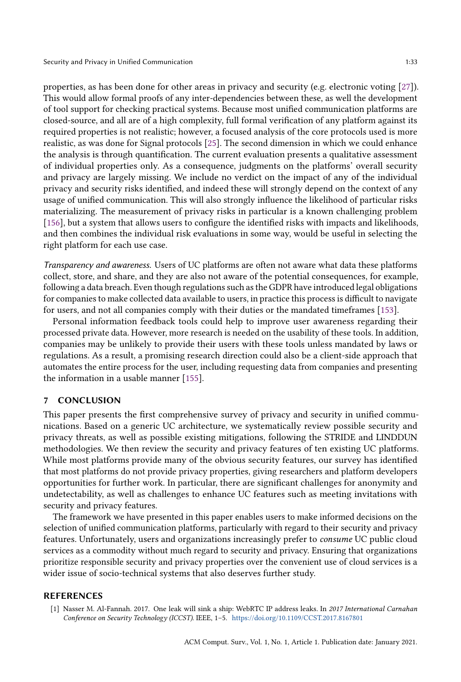properties, as has been done for other areas in privacy and security (e.g. electronic voting [27]). This would allow formal proofs of any inter-dependencies between these, as well the development of tool support for checking practical systems. Because most unified communication platforms are closed-source, and all are of a high complexity, full formal verification of any platform against its required properties is not realistic; however, a focused analysis of the core protocols used is more realistic, as was done for Signal protocols [25]. The second dimension in which we could enhance the analysis is through quantification. The current evaluation presents a qualitative assessment of individual properties only. As a consequence, judgments on the platforms' overall security and privacy are largely missing. We include no verdict on the impact of any of the individual privacy and security risks identified, and indeed these will strongly depend on the context of any usage of unified communication. This will also strongly influence the likelihood of particular risks materializing. The measurement of privacy risks in particular is a known challenging problem [156], but a system that allows users to configure the identified risks with impacts and likelihoods, and then combines the individual risk evaluations in some way, would be useful in selecting the right platform for each use case.

Transparency and awareness. Users of UC platforms are often not aware what data these platforms collect, store, and share, and they are also not aware of the potential consequences, for example, following a data breach. Even though regulations such as the GDPR have introduced legal obligations for companies to make collected data available to users, in practice this process is difficult to navigate for users, and not all companies comply with their duties or the mandated timeframes [153].

Personal information feedback tools could help to improve user awareness regarding their processed private data. However, more research is needed on the usability of these tools. In addition, companies may be unlikely to provide their users with these tools unless mandated by laws or regulations. As a result, a promising research direction could also be a client-side approach that automates the entire process for the user, including requesting data from companies and presenting the information in a usable manner [155].

### 7 CONCLUSION

This paper presents the first comprehensive survey of privacy and security in unified communications. Based on a generic UC architecture, we systematically review possible security and privacy threats, as well as possible existing mitigations, following the STRIDE and LINDDUN methodologies. We then review the security and privacy features of ten existing UC platforms. While most platforms provide many of the obvious security features, our survey has identified that most platforms do not provide privacy properties, giving researchers and platform developers opportunities for further work. In particular, there are significant challenges for anonymity and undetectability, as well as challenges to enhance UC features such as meeting invitations with security and privacy features.

The framework we have presented in this paper enables users to make informed decisions on the selection of unified communication platforms, particularly with regard to their security and privacy features. Unfortunately, users and organizations increasingly prefer to consume UC public cloud services as a commodity without much regard to security and privacy. Ensuring that organizations prioritize responsible security and privacy properties over the convenient use of cloud services is a wider issue of socio-technical systems that also deserves further study.

#### REFERENCES

[1] Nasser M. Al-Fannah. 2017. One leak will sink a ship: WebRTC IP address leaks. In 2017 International Carnahan Conference on Security Technology (ICCST). IEEE, 1–5. https://doi.org/10.1109/CCST.2017.8167801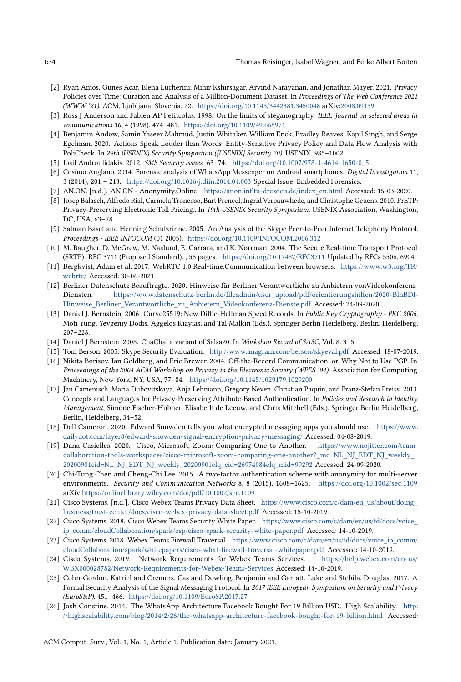- [2] Ryan Amos, Gunes Acar, Elena Lucherini, Mihir Kshirsagar, Arvind Narayanan, and Jonathan Mayer. 2021. Privacy Policies over Time: Curation and Analysis of a Million-Document Dataset. In Proceedings of The Web Conference 2021 (WWW '21). ACM, Ljubljana, Slovenia, 22. https://doi.org/10.1145/3442381.3450048 arXiv:2008.09159
- [3] Ross J Anderson and Fabien AP Petitcolas. 1998. On the limits of steganography. IEEE Journal on selected areas in communications 16, 4 (1998), 474–481. https://doi.org/10.1109/49.668971
- [4] Benjamin Andow, Samin Yaseer Mahmud, Justin Whitaker, William Enck, Bradley Reaves, Kapil Singh, and Serge Egelman. 2020. Actions Speak Louder than Words: Entity-Sensitive Privacy Policy and Data Flow Analysis with PoliCheck. In 29th {USENIX} Security Symposium ({USENIX} Security 20). USENIX, 985–1002.
- [5] Iosif Androulidakis. 2012. SMS Security Issues. 63–74. https://doi.org/10.1007/978-1-4614-1650-0\_5
- [6] Cosimo Anglano. 2014. Forensic analysis of WhatsApp Messenger on Android smartphones. Digital Investigation 11, 3 (2014), 201 – 213. https://doi.org/10.1016/j.diin.2014.04.003 Special Issue: Embedded Forensics.
- [7] AN.ON. [n.d.]. AN.ON Anonymity.Online. https://anon.inf.tu-dresden.de/index\_en.html Accessed: 15-03-2020.
- [8] Josep Balasch, Alfredo Rial, Carmela Troncoso, Bart Preneel, Ingrid Verbauwhede, and Christophe Geuens. 2010. PrETP: Privacy-Preserving Electronic Toll Pricing.. In 19th USENIX Security Symposium. USENIX Association, Washington, DC, USA, 63–78.
- [9] Salman Baset and Henning Schulzrinne. 2005. An Analysis of the Skype Peer-to-Peer Internet Telephony Protocol. Proceedings - IEEE INFOCOM (01 2005). https://doi.org/10.1109/INFOCOM.2006.312
- [10] M. Baugher, D. McGrew, M. Naslund, E. Carrara, and K. Norrman. 2004. The Secure Real-time Transport Protocol (SRTP). RFC 3711 (Proposed Standard). , 56 pages. https://doi.org/10.17487/RFC3711 Updated by RFCs 5506, 6904.
- [11] Bergkvist, Adam et al. 2017. WebRTC 1.0 Real-time.Communication between browsers. https://www.w3.org/TR/ webrtc/ Accessed: 30-06-2021.
- [12] Berliner Datenschutz Beauftragte. 2020. Hinweise für Berliner Verantwortliche zu Anbietern vonVideokonferenz-Diensten. https://www.datenschutz-berlin.de/fileadmin/user\_upload/pdf/orientierungshilfen/2020-BlnBDI-Hinweise\_Berliner\_Verantwortliche\_zu\_Anbietern\_Videokonferenz-Dienste.pdf Accessed: 24-09-2020.
- [13] Daniel J. Bernstein. 2006. Curve25519: New Diffie-Hellman Speed Records. In Public Key Cryptography PKC 2006, Moti Yung, Yevgeniy Dodis, Aggelos Kiayias, and Tal Malkin (Eds.). Springer Berlin Heidelberg, Berlin, Heidelberg, 207–228.
- [14] Daniel J Bernstein. 2008. ChaCha, a variant of Salsa20. In Workshop Record of SASC, Vol. 8. 3–5.
- [15] Tom Berson. 2005. Skype Security Evaluation. http://www.anagram.com/berson/skyeval.pdf Accessed: 18-07-2019.
- [16] Nikita Borisov, Ian Goldberg, and Eric Brewer. 2004. Off-the-Record Communication, or, Why Not to Use PGP. In Proceedings of the 2004 ACM Workshop on Privacy in the Electronic Society (WPES '04). Association for Computing Machinery, New York, NY, USA, 77–84. https://doi.org/10.1145/1029179.1029200
- [17] Jan Camenisch, Maria Dubovitskaya, Anja Lehmann, Gregory Neven, Christian Paquin, and Franz-Stefan Preiss. 2013. Concepts and Languages for Privacy-Preserving Attribute-Based Authentication. In Policies and Research in Identity Management, Simone Fischer-Hübner, Elisabeth de Leeuw, and Chris Mitchell (Eds.). Springer Berlin Heidelberg, Berlin, Heidelberg, 34–52.
- [18] Dell Cameron. 2020. Edward Snowden tells you what encrypted messaging apps you should use. https://www. dailydot.com/layer8/edward-snowden-signal-encryption-privacy-messaging/ Accessed: 04-08-2019.
- [19] Dana Casielles. 2020. Cisco, Microsoft, Zoom: Comparing One to Another. https://www.nojitter.com/teamcollaboration-tools-workspaces/cisco-microsoft-zoom-comparing-one-another?\_mc=NL\_NJ\_EDT\_NJ\_weekly\_ 20200901cid=NL\_NJ\_EDT\_NJ\_weekly\_20200901elq\_cid=26974084elq\_mid=99292 Accessed: 24-09-2020.
- [20] Chi-Tung Chen and Cheng-Chi Lee. 2015. A two-factor authentication scheme with anonymity for multi-server environments. Security and Communication Networks 8, 8 (2015), 1608–1625. https://doi.org/10.1002/sec.1109 arXiv:https://onlinelibrary.wiley.com/doi/pdf/10.1002/sec.1109
- [21] Cisco Systems. [n.d.]. Cisco Webex Teams Privacy Data Sheet. https://www.cisco.com/c/dam/en\_us/about/doing\_ business/trust-center/docs/cisco-webex-privacy-data-sheet.pdf Accessed: 15-10-2019.
- [22] Cisco Systems. 2018. Cisco Webex Teams Security White Paper. https://www.cisco.com/c/dam/en/us/td/docs/voice\_ ip\_comm/cloudCollaboration/spark/esp/cisco-spark-security-white-paper.pdf Accessed: 14-10-2019.
- [23] Cisco Systems. 2018. Webex Teams Firewall Traversal. https://www.cisco.com/c/dam/en/us/td/docs/voice\_ip\_comm/ cloudCollaboration/spark/whitepapers/cisco-wbxt-firewall-traversal-whitepaper.pdf Accessed: 14-10-2019.
- [24] Cisco Systems. 2019. Network Requirements for Webex Teams Services. https://help.webex.com/en-us/ WBX000028782/Network-Requirements-for-Webex-Teams-Services Accessed: 14-10-2019.
- [25] Cohn-Gordon, Katriel and Cremers, Cas and Dowling, Benjamin and Garratt, Luke and Stebila, Douglas. 2017. A Formal Security Analysis of the Signal Messaging Protocol. In 2017 IEEE European Symposium on Security and Privacy (EuroS&P). 451–466. https://doi.org/10.1109/EuroSP.2017.27
- [26] Josh Constine. 2014. The WhatsApp Architecture Facebook Bought For 19 Billion USD. High Scalability. http: //highscalability.com/blog/2014/2/26/the-whatsapp-architecture-facebook-bought-for-19-billion.html Accessed:

ACM Comput. Surv., Vol. 1, No. 1, Article 1. Publication date: January 2021.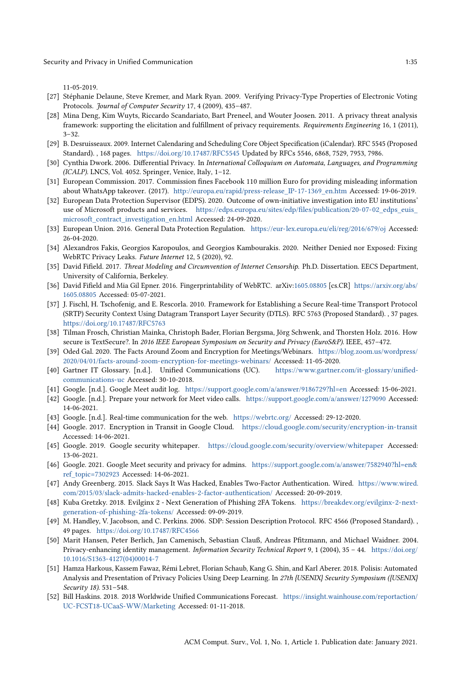11-05-2019.

- [27] Stéphanie Delaune, Steve Kremer, and Mark Ryan. 2009. Verifying Privacy-Type Properties of Electronic Voting Protocols. Journal of Computer Security 17, 4 (2009), 435-487.
- [28] Mina Deng, Kim Wuyts, Riccardo Scandariato, Bart Preneel, and Wouter Joosen. 2011. A privacy threat analysis framework: supporting the elicitation and fulfillment of privacy requirements. Requirements Engineering 16, 1 (2011), 3–32.
- [29] B. Desruisseaux. 2009. Internet Calendaring and Scheduling Core Object Specification (iCalendar). RFC 5545 (Proposed Standard). , 168 pages. https://doi.org/10.17487/RFC5545 Updated by RFCs 5546, 6868, 7529, 7953, 7986.
- [30] Cynthia Dwork. 2006. Differential Privacy. In International Colloquium on Automata, Languages, and Programming (ICALP). LNCS, Vol. 4052. Springer, Venice, Italy, 1–12.
- [31] European Commission. 2017. Commission fines Facebook 110 million Euro for providing misleading information about WhatsApp takeover. (2017). http://europa.eu/rapid/press-release\_IP-17-1369\_en.htm Accessed: 19-06-2019.
- [32] European Data Protection Supervisor (EDPS). 2020. Outcome of own-initiative investigation into EU institutions' use of Microsoft products and services. https://edps.europa.eu/sites/edp/files/publication/20-07-02\_edps\_euis\_ microsoft\_contract\_investigation\_en.html Accessed: 24-09-2020.
- [33] European Union. 2016. General Data Protection Regulation. https://eur-lex.europa.eu/eli/reg/2016/679/oj Accessed: 26-04-2020.
- [34] Alexandros Fakis, Georgios Karopoulos, and Georgios Kambourakis. 2020. Neither Denied nor Exposed: Fixing WebRTC Privacy Leaks. Future Internet 12, 5 (2020), 92.
- [35] David Fifield. 2017. Threat Modeling and Circumvention of Internet Censorship. Ph.D. Dissertation. EECS Department, University of California, Berkeley.
- [36] David Fifield and Mia Gil Epner. 2016. Fingerprintability of WebRTC. arXiv:1605.08805 [cs.CR] https://arxiv.org/abs/ 1605.08805 Accessed: 05-07-2021.
- [37] J. Fischl, H. Tschofenig, and E. Rescorla. 2010. Framework for Establishing a Secure Real-time Transport Protocol (SRTP) Security Context Using Datagram Transport Layer Security (DTLS). RFC 5763 (Proposed Standard). , 37 pages. https://doi.org/10.17487/RFC5763
- [38] Tilman Frosch, Christian Mainka, Christoph Bader, Florian Bergsma, Jörg Schwenk, and Thorsten Holz. 2016. How secure is TextSecure?. In 2016 IEEE European Symposium on Security and Privacy (EuroS&P). IEEE, 457-472.
- [39] Oded Gal. 2020. The Facts Around Zoom and Encryption for Meetings/Webinars. https://blog.zoom.us/wordpress/ 2020/04/01/facts-around-zoom-encryption-for-meetings-webinars/ Accessed: 11-05-2020.
- [40] Gartner IT Glossary. [n.d.]. Unified Communications (UC). https://www.gartner.com/it-glossary/unifiedcommunications-uc Accessed: 30-10-2018.
- [41] Google. [n.d.]. Google Meet audit log. https://support.google.com/a/answer/9186729?hl=en Accessed: 15-06-2021.
- [42] Google. [n.d.]. Prepare your network for Meet video calls. https://support.google.com/a/answer/1279090 Accessed: 14-06-2021.
- [43] Google. [n.d.]. Real-time communication for the web. https://webrtc.org/ Accessed: 29-12-2020.
- [44] Google. 2017. Encryption in Transit in Google Cloud. https://cloud.google.com/security/encryption-in-transit Accessed: 14-06-2021.
- [45] Google. 2019. Google security whitepaper. https://cloud.google.com/security/overview/whitepaper Accessed: 13-06-2021.
- [46] Google. 2021. Google Meet security and privacy for admins. https://support.google.com/a/answer/7582940?hl=en& ref\_topic=7302923 Accessed: 14-06-2021.
- [47] Andy Greenberg. 2015. Slack Says It Was Hacked, Enables Two-Factor Authentication. Wired. https://www.wired. com/2015/03/slack-admits-hacked-enables-2-factor-authentication/ Accessed: 20-09-2019.
- [48] Kuba Gretzky. 2018. Evilginx 2 Next Generation of Phishing 2FA Tokens. https://breakdev.org/evilginx-2-nextgeneration-of-phishing-2fa-tokens/ Accessed: 09-09-2019.
- [49] M. Handley, V. Jacobson, and C. Perkins. 2006. SDP: Session Description Protocol. RFC 4566 (Proposed Standard). , 49 pages. https://doi.org/10.17487/RFC4566
- [50] Marit Hansen, Peter Berlich, Jan Camenisch, Sebastian Clauß, Andreas Pfitzmann, and Michael Waidner. 2004. Privacy-enhancing identity management. Information Security Technical Report 9, 1 (2004), 35 - 44. https://doi.org/ 10.1016/S1363-4127(04)00014-7
- [51] Hamza Harkous, Kassem Fawaz, Rémi Lebret, Florian Schaub, Kang G. Shin, and Karl Aberer. 2018. Polisis: Automated Analysis and Presentation of Privacy Policies Using Deep Learning. In 27th {USENIX} Security Symposium ({USENIX} Security 18). 531–548.
- [52] Bill Haskins. 2018. 2018 Worldwide Unified Communications Forecast. https://insight.wainhouse.com/reportaction/ UC-FCST18-UCaaS-WW/Marketing Accessed: 01-11-2018.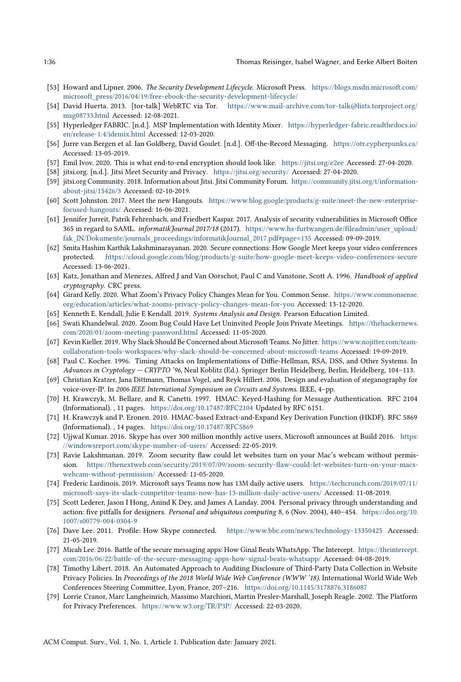- [53] Howard and Lipner. 2006. The Security Development Lifecycle. Microsoft Press. https://blogs.msdn.microsoft.com/ microsoft\_press/2016/04/19/free-ebook-the-security-development-lifecycle/
- [54] David Huerta. 2013. [tor-talk] WebRTC via Tor. https://www.mail-archive.com/tor-talk@lists.torproject.org/ msg08733.html Accessed: 12-08-2021.
- [55] Hyperledger FABRIC. [n.d.]. MSP Implementation with Identity Mixer. https://hyperledger-fabric.readthedocs.io/ en/release-1.4/idemix.html Accessed: 12-03-2020.
- [56] Jurre van Bergen et al. Ian Goldberg, David Goulet. [n.d.]. Off-the-Record Messaging. https://otr.cypherpunks.ca/ Accessed: 13-05-2019.
- [57] Emil Ivov. 2020. This is what end-to-end encryption should look like. https://jitsi.org/e2ee Accessed: 27-04-2020.
- [58] jitsi.org. [n.d.]. Jitsi Meet Security and Privacy. https://jitsi.org/security/ Accessed: 27-04-2020.
- [59] jitsi.org Community. 2018. Information about Jitsi. Jitsi Community Forum. https://community.jitsi.org/t/informationabout-jitsi/15426/3 Accessed: 02-10-2019.
- [60] Scott Johnston. 2017. Meet the new Hangouts. https://www.blog.google/products/g-suite/meet-the-new-enterprisefocused-hangouts/ Accessed: 16-06-2021.
- [61] Jennifer Jurreit, Patrik Fehrenbach, and Friedbert Kaspar. 2017. Analysis of security vulnerabilities in Microsoft Office 365 in regard to SAML. informatikJournal 2017/18 (2017). https://www.hs-furtwangen.de/fileadmin/user\_upload/ fak\_IN/Dokumente/journals\_proceedings/informatikJournal\_2017.pdf#page=135 Accessed: 09-09-2019.
- [62] Smita Hashim Karthik Lakshminarayanan. 2020. Secure connections: How Google Meet keeps your video conferences protected. https://cloud.google.com/blog/products/g-suite/how-google-meet-keeps-video-conferences-secure Accessed: 13-06-2021.
- [63] Katz, Jonathan and Menezes, Alfred J and Van Oorschot, Paul C and Vanstone, Scott A. 1996. Handbook of applied cryptography. CRC press.
- [64] Girard Kelly. 2020. What Zoom's Privacy Policy Changes Mean for You. Common Sense. https://www.commonsense. org/education/articles/what-zooms-privacy-policy-changes-mean-for-you Accessed: 13-12-2020.
- [65] Kenneth E. Kendall, Julie E Kendall. 2019. Systems Analysis and Design. Pearson Education Limited.
- [66] Swati Khandelwal. 2020. Zoom Bug Could Have Let Uninvited People Join Private Meetings. https://thehackernews. com/2020/01/zoom-meeting-password.html Accessed: 11-05-2020.
- [67] Kevin Kieller. 2019. Why Slack Should Be Concerned about Microsoft Teams. No Jitter. https://www.nojitter.com/teamcollaboration-tools-workspaces/why-slack-should-be-concerned-about-microsoft-teams Accessed: 19-09-2019.
- [68] Paul C. Kocher. 1996. Timing Attacks on Implementations of Diffie-Hellman, RSA, DSS, and Other Systems. In Advances in Cryptology — CRYPTO '96, Neal Koblitz (Ed.). Springer Berlin Heidelberg, Berlin, Heidelberg, 104–113.
- [69] Christian Kratzer, Jana Dittmann, Thomas Vogel, and Reyk Hillert. 2006. Design and evaluation of steganography for voice-over-IP. In 2006 IEEE International Symposium on Circuits and Systems. IEEE, 4–pp.
- [70] H. Krawczyk, M. Bellare, and R. Canetti. 1997. HMAC: Keyed-Hashing for Message Authentication. RFC 2104 (Informational). , 11 pages. https://doi.org/10.17487/RFC2104 Updated by RFC 6151.
- [71] H. Krawczyk and P. Eronen. 2010. HMAC-based Extract-and-Expand Key Derivation Function (HKDF). RFC 5869 (Informational). , 14 pages. https://doi.org/10.17487/RFC5869
- [72] Ujjwal Kumar. 2016. Skype has over 300 million monthly active users, Microsoft announces at Build 2016. https: //windowsreport.com/skype-number-of-users/ Accessed: 22-05-2019.
- [73] Ravie Lakshmanan. 2019. Zoom security flaw could let websites turn on your Mac's webcam without permission. https://thenextweb.com/security/2019/07/09/zoom-security-flaw-could-let-websites-turn-on-your-macswebcam-without-permission/ Accessed: 11-05-2020.
- [74] Frederic Lardinois. 2019. Microsoft says Teams now has 13M daily active users. https://techcrunch.com/2019/07/11/ microsoft-says-its-slack-competitor-teams-now-has-13-million-daily-active-users/ Accessed: 11-08-2019.
- [75] Scott Lederer, Jason I Hong, Anind K Dey, and James A Landay. 2004. Personal privacy through understanding and action: five pitfalls for designers. Personal and ubiquitous computing 8, 6 (Nov. 2004), 440–454. https://doi.org/10. 1007/s00779-004-0304-9
- [76] Dave Lee. 2011. Profile: How Skype connected. https://www.bbc.com/news/technology-13350425 Accessed: 21-05-2019.
- [77] Micah Lee. 2016. Battle of the secure messaging apps: How Ginal Beats WhatsApp. The Intercept. https://theintercept. com/2016/06/22/battle-of-the-secure-messaging-apps-how-signal-beats-whatsapp/ Accessed: 04-08-2019.
- [78] Timothy Libert. 2018. An Automated Approach to Auditing Disclosure of Third-Party Data Collection in Website Privacy Policies. In Proceedings of the 2018 World Wide Web Conference (WWW '18). International World Wide Web Conferences Steering Committee, Lyon, France, 207–216. https://doi.org/10.1145/3178876.3186087
- [79] Lorrie Cranor, Marc Langheinrich, Massimo Marchiori, Martin Presler-Marshall, Joseph Reagle. 2002. The Platform for Privacy Preferences. https://www.w3.org/TR/P3P/ Accessed: 22-03-2020.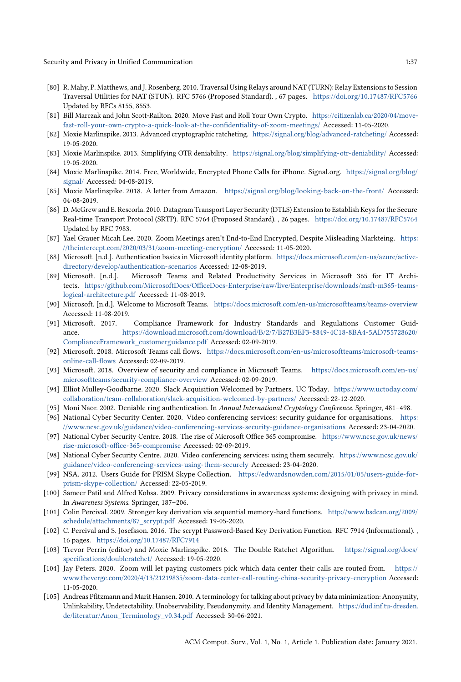Security and Privacy in Unified Communication 1:37

- [80] R. Mahy, P. Matthews, and J. Rosenberg. 2010. Traversal Using Relays around NAT (TURN): Relay Extensions to Session Traversal Utilities for NAT (STUN). RFC 5766 (Proposed Standard). , 67 pages. https://doi.org/10.17487/RFC5766 Updated by RFCs 8155, 8553.
- [81] Bill Marczak and John Scott-Railton. 2020. Move Fast and Roll Your Own Crypto. https://citizenlab.ca/2020/04/movefast-roll-your-own-crypto-a-quick-look-at-the-confidentiality-of-zoom-meetings/ Accessed: 11-05-2020.
- [82] Moxie Marlinspike. 2013. Advanced cryptographic ratcheting. https://signal.org/blog/advanced-ratcheting/ Accessed: 19-05-2020.
- [83] Moxie Marlinspike. 2013. Simplifying OTR deniability. https://signal.org/blog/simplifying-otr-deniability/ Accessed: 19-05-2020.
- [84] Moxie Marlinspike. 2014. Free, Worldwide, Encrypted Phone Calls for iPhone. Signal.org. https://signal.org/blog/ signal/ Accessed: 04-08-2019.
- [85] Moxie Marlinspike. 2018. A letter from Amazon. https://signal.org/blog/looking-back-on-the-front/ Accessed: 04-08-2019.
- [86] D. McGrew and E. Rescorla. 2010. Datagram Transport Layer Security (DTLS) Extension to Establish Keys for the Secure Real-time Transport Protocol (SRTP). RFC 5764 (Proposed Standard). , 26 pages. https://doi.org/10.17487/RFC5764 Updated by RFC 7983.
- [87] Yael Grauer Micah Lee. 2020. Zoom Meetings aren't End-to-End Encrypted, Despite Misleading Markteing. https: //theintercept.com/2020/03/31/zoom-meeting-encryption/ Accessed: 11-05-2020.
- [88] Microsoft. [n.d.]. Authentication basics in Microsoft identity platform. https://docs.microsoft.com/en-us/azure/activedirectory/develop/authentication-scenarios Accessed: 12-08-2019.
- [89] Microsoft. [n.d.]. Microsoft Teams and Related Productivity Services in Microsoft 365 for IT Architects. https://github.com/MicrosoftDocs/OfficeDocs-Enterprise/raw/live/Enterprise/downloads/msft-m365-teamslogical-architecture.pdf Accessed: 11-08-2019.
- [90] Microsoft. [n.d.]. Welcome to Microsoft Teams. https://docs.microsoft.com/en-us/microsoftteams/teams-overview Accessed: 11-08-2019.
- [91] Microsoft. 2017. Compliance Framework for Industry Standards and Regulations Customer Guidance. https://download.microsoft.com/download/B/2/7/B27B3EF3-8849-4C18-8BA4-5AD755728620/ ComplianceFramework\_customerguidance.pdf Accessed: 02-09-2019.
- [92] Microsoft. 2018. Microsoft Teams call flows. https://docs.microsoft.com/en-us/microsoftteams/microsoft-teamsonline-call-flows Accessed: 02-09-2019.
- [93] Microsoft. 2018. Overview of security and compliance in Microsoft Teams. https://docs.microsoft.com/en-us/ microsoftteams/security-compliance-overview Accessed: 02-09-2019.
- [94] Elliot Mulley-Goodbarne. 2020. Slack Acquisition Welcomed by Partners. UC Today. https://www.uctoday.com/ collaboration/team-collaboration/slack-acquisition-welcomed-by-partners/ Accessed: 22-12-2020.
- [95] Moni Naor. 2002. Deniable ring authentication. In Annual International Cryptology Conference. Springer, 481-498.
- [96] National Cyber Security Center. 2020. Video conferencing services: security guidance for organisations. https: //www.ncsc.gov.uk/guidance/video-conferencing-services-security-guidance-organisations Accessed: 23-04-2020.
- [97] National Cyber Security Centre. 2018. The rise of Microsoft Office 365 compromise. https://www.ncsc.gov.uk/news/ rise-microsoft-office-365-compromise Accessed: 02-09-2019.
- [98] National Cyber Security Centre. 2020. Video conferencing services: using them securely. https://www.ncsc.gov.uk/ guidance/video-conferencing-services-using-them-securely Accessed: 23-04-2020.
- [99] NSA. 2012. Users Guide for PRISM Skype Collection. https://edwardsnowden.com/2015/01/05/users-guide-forprism-skype-collection/ Accessed: 22-05-2019.
- [100] Sameer Patil and Alfred Kobsa. 2009. Privacy considerations in awareness systems: designing with privacy in mind. In Awareness Systems. Springer, 187–206.
- [101] Colin Percival. 2009. Stronger key derivation via sequential memory-hard functions. http://www.bsdcan.org/2009/ schedule/attachments/87\_scrypt.pdf Accessed: 19-05-2020.
- [102] C. Percival and S. Josefsson. 2016. The scrypt Password-Based Key Derivation Function. RFC 7914 (Informational). , 16 pages. https://doi.org/10.17487/RFC7914
- [103] Trevor Perrin (editor) and Moxie Marlinspike. 2016. The Double Ratchet Algorithm. https://signal.org/docs/ specifications/doubleratchet/ Accessed: 19-05-2020.
- [104] Jay Peters. 2020. Zoom will let paying customers pick which data center their calls are routed from. https:// www.theverge.com/2020/4/13/21219835/zoom-data-center-call-routing-china-security-privacy-encryption Accessed: 11-05-2020.
- [105] Andreas Pfitzmann and Marit Hansen. 2010. A terminology for talking about privacy by data minimization: Anonymity, Unlinkability, Undetectability, Unobservability, Pseudonymity, and Identity Management. https://dud.inf.tu-dresden. de/literatur/Anon\_Terminology\_v0.34.pdf Accessed: 30-06-2021.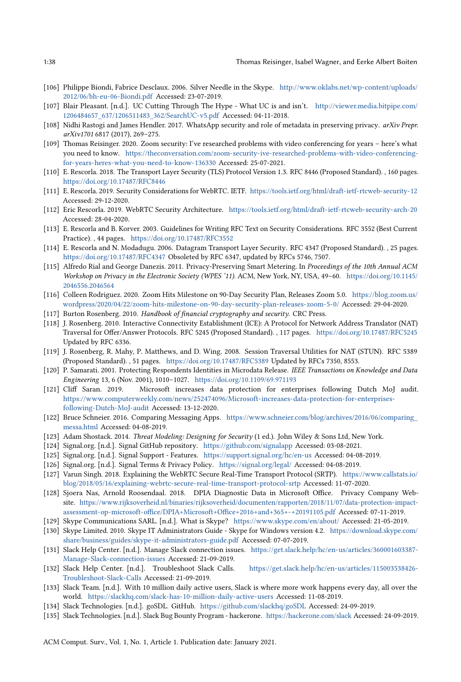- [106] Philippe Biondi, Fabrice Desclaux. 2006. Silver Needle in the Skype. http://www.oklabs.net/wp-content/uploads/ 2012/06/bh-eu-06-Biondi.pdf Accessed: 23-07-2019.
- [107] Blair Pleasant. [n.d.]. UC Cutting Through The Hype What UC is and isn't. http://viewer.media.bitpipe.com/ 1206484657\_637/1206511483\_362/SearchUC-v5.pdf Accessed: 04-11-2018.
- [108] Nidhi Rastogi and James Hendler. 2017. WhatsApp security and role of metadata in preserving privacy. arXiv Prepr. arXiv1701 6817 (2017), 269–275.
- [109] Thomas Reisinger. 2020. Zoom security: I've researched problems with video conferencing for years here's what you need to know. https://theconversation.com/zoom-security-ive-researched-problems-with-video-conferencingfor-years-heres-what-you-need-to-know-136330 Accessed: 25-07-2021.
- [110] E. Rescorla. 2018. The Transport Layer Security (TLS) Protocol Version 1.3. RFC 8446 (Proposed Standard). , 160 pages. https://doi.org/10.17487/RFC8446
- [111] E. Rescorla. 2019. Security Considerations for WebRTC. IETF. https://tools.ietf.org/html/draft-ietf-rtcweb-security-12 Accessed: 29-12-2020.
- [112] Eric Rescorla. 2019. WebRTC Security Architecture. https://tools.ietf.org/html/draft-ietf-rtcweb-security-arch-20 Accessed: 28-04-2020.
- [113] E. Rescorla and B. Korver. 2003. Guidelines for Writing RFC Text on Security Considerations. RFC 3552 (Best Current Practice). , 44 pages. https://doi.org/10.17487/RFC3552
- [114] E. Rescorla and N. Modadugu. 2006. Datagram Transport Layer Security. RFC 4347 (Proposed Standard). , 25 pages. https://doi.org/10.17487/RFC4347 Obsoleted by RFC 6347, updated by RFCs 5746, 7507.
- [115] Alfredo Rial and George Danezis. 2011. Privacy-Preserving Smart Metering. In Proceedings of the 10th Annual ACM Workshop on Privacy in the Electronic Society (WPES '11). ACM, New York, NY, USA, 49–60. https://doi.org/10.1145/ 2046556.2046564
- [116] Colleen Rodriguez. 2020. Zoom Hits Milestone on 90-Day Security Plan, Releases Zoom 5.0. https://blog.zoom.us/ wordpress/2020/04/22/zoom-hits-milestone-on-90-day-security-plan-releases-zoom-5-0/ Accessed: 29-04-2020.
- [117] Burton Rosenberg. 2010. Handbook of financial cryptography and security. CRC Press.
- [118] J. Rosenberg. 2010. Interactive Connectivity Establishment (ICE): A Protocol for Network Address Translator (NAT) Traversal for Offer/Answer Protocols. RFC 5245 (Proposed Standard). , 117 pages. https://doi.org/10.17487/RFC5245 Updated by RFC 6336.
- [119] J. Rosenberg, R. Mahy, P. Matthews, and D. Wing. 2008. Session Traversal Utilities for NAT (STUN). RFC 5389 (Proposed Standard). , 51 pages. https://doi.org/10.17487/RFC5389 Updated by RFCs 7350, 8553.
- [120] P. Samarati. 2001. Protecting Respondents Identities in Microdata Release. IEEE Transactions on Knowledge and Data Engineering 13, 6 (Nov. 2001), 1010–1027. https://doi.org/10.1109/69.971193
- [121] Cliff Saran. 2019. Microsoft increases data protection for enterprises following Dutch MoJ audit. https://www.computerweekly.com/news/252474096/Microsoft-increases-data-protection-for-enterprisesfollowing-Dutch-MoJ-audit Accessed: 13-12-2020.
- [122] Bruce Schneier. 2016. Comparing Messaging Apps. https://www.schneier.com/blog/archives/2016/06/comparing\_ messa.html Accessed: 04-08-2019.
- [123] Adam Shostack. 2014. Threat Modeling: Designing for Security (1 ed.). John Wiley & Sons Ltd, New York.
- [124] Signal.org. [n.d.]. Signal GitHub repository. https://github.com/signalapp Accessed: 03-08-2021.
- [125] Signal.org. [n.d.]. Signal Support Features. https://support.signal.org/hc/en-us Accessed: 04-08-2019.
- [126] Signal.org. [n.d.]. Signal Terms & Privacy Policy. https://signal.org/legal/ Accessed: 04-08-2019.
- [127] Varun Singh. 2018. Explaining the WebRTC Secure Real-Time Transport Protocol (SRTP). https://www.callstats.io/ blog/2018/05/16/explaining-webrtc-secure-real-time-transport-protocol-srtp Accessed: 11-07-2020.
- [128] Sjoera Nas, Arnold Roosendaal. 2018. DPIA Diagnostic Data in Microsoft Office. Privacy Company Website. https://www.rijksoverheid.nl/binaries/rijksoverheid/documenten/rapporten/2018/11/07/data-protection-impactassessment-op-microsoft-office/DPIA+Microsoft+Office+2016+and+365+-+20191105.pdf Accessed: 07-11-2019.
- [129] Skype Communications SARL. [n.d.]. What is Skype? https://www.skype.com/en/about/ Accessed: 21-05-2019.
- [130] Skype Limited. 2010. Skype IT Administrators Guide Skype for Windows version 4.2. https://download.skype.com/ share/business/guides/skype-it-administrators-guide.pdf Accessed: 07-07-2019.
- [131] Slack Help Center. [n.d.]. Manage Slack connection issues. https://get.slack.help/hc/en-us/articles/360001603387- Manage-Slack-connection-issues Accessed: 21-09-2019.
- [132] Slack Help Center. [n.d.]. Troubleshoot Slack Calls. https://get.slack.help/hc/en-us/articles/115003538426- Troubleshoot-Slack-Calls Accessed: 21-09-2019.
- [133] Slack Team. [n.d.]. With 10 million daily active users, Slack is where more work happens every day, all over the world. https://slackhq.com/slack-has-10-million-daily-active-users Accessed: 11-08-2019.
- [134] Slack Technologies. [n.d.]. goSDL. GitHub. https://github.com/slackhq/goSDL Accessed: 24-09-2019.
- [135] Slack Technologies. [n.d.]. Slack Bug Bounty Program hackerone. https://hackerone.com/slack Accessed: 24-09-2019.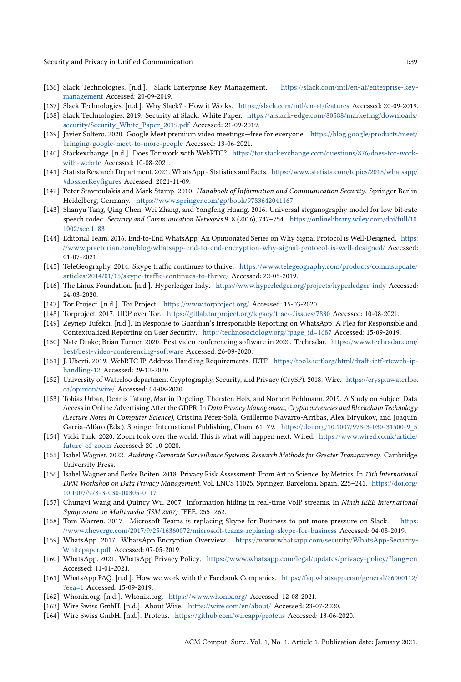- [136] Slack Technologies. [n.d.]. Slack Enterprise Key Management. https://slack.com/intl/en-at/enterprise-keymanagement Accessed: 20-09-2019.
- [137] Slack Technologies. [n.d.]. Why Slack? How it Works. https://slack.com/intl/en-at/features Accessed: 20-09-2019.
- [138] Slack Technologies. 2019. Security at Slack. White Paper. https://a.slack-edge.com/80588/marketing/downloads/ security/Security\_White\_Paper\_2019.pdf Accessed: 21-09-2019.
- [139] Javier Soltero. 2020. Google Meet premium video meetings—free for everyone. https://blog.google/products/meet/ bringing-google-meet-to-more-people Accessed: 13-06-2021.
- [140] Stackexchange. [n.d.]. Does Tor work with WebRTC? https://tor.stackexchange.com/questions/876/does-tor-workwith-webrtc Accessed: 10-08-2021.
- [141] Statista Research Department. 2021. WhatsApp Statistics and Facts. https://www.statista.com/topics/2018/whatsapp/ #dossierKeyfigures Accessed: 2021-11-09.
- [142] Peter Stavroulakis and Mark Stamp. 2010. Handbook of Information and Communication Security. Springer Berlin Heidelberg, Germany. https://www.springer.com/gp/book/9783642041167
- [143] Shanyu Tang, Qing Chen, Wei Zhang, and Yongfeng Huang. 2016. Universal steganography model for low bit-rate speech codec. Security and Communication Networks 9, 8 (2016), 747–754. https://onlinelibrary.wiley.com/doi/full/10. 1002/sec.1183
- [144] Editorial Team. 2016. End-to-End WhatsApp: An Opinionated Series on Why Signal Protocol is Well-Designed. https: //www.praetorian.com/blog/whatsapp-end-to-end-encryption-why-signal-protocol-is-well-designed/ Accessed: 01-07-2021.
- [145] TeleGeography. 2014. Skype traffic continues to thrive. https://www.telegeography.com/products/commsupdate/ articles/2014/01/15/skype-traffic-continues-to-thrive/ Accessed: 22-05-2019.
- [146] The Linux Foundation. [n.d.]. Hyperledger Indy. https://www.hyperledger.org/projects/hyperledger-indy Accessed: 24-03-2020.
- [147] Tor Project. [n.d.]. Tor Project. https://www.torproject.org/ Accessed: 15-03-2020.
- [148] Torproject. 2017. UDP over Tor. https://gitlab.torproject.org/legacy/trac/-/issues/7830 Accessed: 10-08-2021.
- [149] Zeynep Tufekci. [n.d.]. In Response to Guardian's Irresponsible Reporting on WhatsApp: A Plea for Responsible and Contextualized Reporting on User Security. http://technosociology.org/?page\_id=1687 Accessed: 15-09-2019.
- [150] Nate Drake; Brian Turner. 2020. Best video conferencing software in 2020. Techradar. https://www.techradar.com/ best/best-video-conferencing-software Accessed: 26-09-2020.
- [151] J. Uberti. 2019. WebRTC IP Address Handling Requirements. IETF. https://tools.ietf.org/html/draft-ietf-rtcweb-iphandling-12 Accessed: 29-12-2020.
- [152] University of Waterloo department Cryptography, Security, and Privacy (CrySP). 2018. Wire. https://crysp.uwaterloo. ca/opinion/wire/ Accessed: 04-08-2020.
- [153] Tobias Urban, Dennis Tatang, Martin Degeling, Thorsten Holz, and Norbert Pohlmann. 2019. A Study on Subject Data Access in Online Advertising After the GDPR. In Data Privacy Management, Cryptocurrencies and Blockchain Technology (Lecture Notes in Computer Science), Cristina Pérez-Solà, Guillermo Navarro-Arribas, Alex Biryukov, and Joaquin Garcia-Alfaro (Eds.). Springer International Publishing, Cham, 61–79. https://doi.org/10.1007/978-3-030-31500-9\_5
- [154] Vicki Turk. 2020. Zoom took over the world. This is what will happen next. Wired. https://www.wired.co.uk/article/ future-of-zoom Accessed: 20-10-2020.
- [155] Isabel Wagner. 2022. Auditing Corporate Surveillance Systems: Research Methods for Greater Transparency. Cambridge University Press.
- [156] Isabel Wagner and Eerke Boiten. 2018. Privacy Risk Assessment: From Art to Science, by Metrics. In 13th International DPM Workshop on Data Privacy Management, Vol. LNCS 11025. Springer, Barcelona, Spain, 225–241. https://doi.org/ 10.1007/978-3-030-00305-0\_17
- [157] Chungyi Wang and Quincy Wu. 2007. Information hiding in real-time VoIP streams. In Ninth IEEE International Symposium on Multimedia (ISM 2007). IEEE, 255–262.
- [158] Tom Warren. 2017. Microsoft Teams is replacing Skype for Business to put more pressure on Slack. https: //www.theverge.com/2017/9/25/16360072/microsoft-teams-replacing-skype-for-business Accessed: 04-08-2019.
- [159] WhatsApp. 2017. WhatsApp Encryption Overview. https://www.whatsapp.com/security/WhatsApp-Security-Whitepaper.pdf Accessed: 07-05-2019.
- [160] WhatsApp. 2021. WhatsApp Privacy Policy. https://www.whatsapp.com/legal/updates/privacy-policy/?lang=en Accessed: 11-01-2021.
- [161] WhatsApp FAQ. [n.d.]. How we work with the Facebook Companies. https://faq.whatsapp.com/general/26000112/ ?eea=1 Accessed: 15-09-2019.
- [162] Whonix.org. [n.d.]. Whonix.org. https://www.whonix.org/ Accessed: 12-08-2021.
- [163] Wire Swiss GmbH. [n.d.]. About Wire. https://wire.com/en/about/ Accessed: 23-07-2020.
- [164] Wire Swiss GmbH. [n.d.]. Proteus. https://github.com/wireapp/proteus Accessed: 13-06-2020.